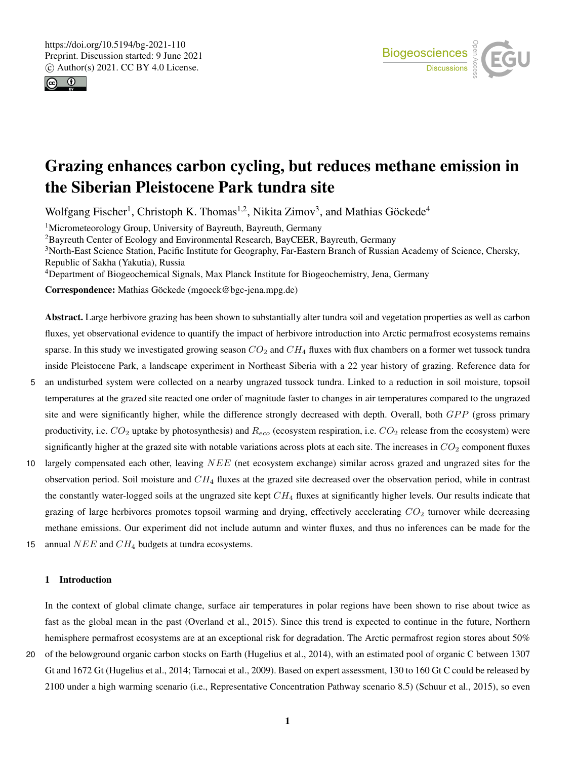



# Grazing enhances carbon cycling, but reduces methane emission in the Siberian Pleistocene Park tundra site

Wolfgang Fischer<sup>1</sup>, Christoph K. Thomas<sup>1,2</sup>, Nikita Zimov<sup>3</sup>, and Mathias Göckede<sup>4</sup>

<sup>1</sup>Micrometeorology Group, University of Bayreuth, Bayreuth, Germany

<sup>2</sup>Bayreuth Center of Ecology and Environmental Research, BayCEER, Bayreuth, Germany

<sup>3</sup>North-East Science Station, Pacific Institute for Geography, Far-Eastern Branch of Russian Academy of Science, Chersky, Republic of Sakha (Yakutia), Russia

<sup>4</sup>Department of Biogeochemical Signals, Max Planck Institute for Biogeochemistry, Jena, Germany

Correspondence: Mathias Göckede (mgoeck@bgc-jena.mpg.de)

Abstract. Large herbivore grazing has been shown to substantially alter tundra soil and vegetation properties as well as carbon fluxes, yet observational evidence to quantify the impact of herbivore introduction into Arctic permafrost ecosystems remains sparse. In this study we investigated growing season  $CO_2$  and  $CH_4$  fluxes with flux chambers on a former wet tussock tundra inside Pleistocene Park, a landscape experiment in Northeast Siberia with a 22 year history of grazing. Reference data for

- 5 an undisturbed system were collected on a nearby ungrazed tussock tundra. Linked to a reduction in soil moisture, topsoil temperatures at the grazed site reacted one order of magnitude faster to changes in air temperatures compared to the ungrazed site and were significantly higher, while the difference strongly decreased with depth. Overall, both  $GPP$  (gross primary productivity, i.e.  $CO_2$  uptake by photosynthesis) and  $R_{eco}$  (ecosystem respiration, i.e.  $CO_2$  release from the ecosystem) were significantly higher at the grazed site with notable variations across plots at each site. The increases in  $CO_2$  component fluxes
- 10 largely compensated each other, leaving NEE (net ecosystem exchange) similar across grazed and ungrazed sites for the observation period. Soil moisture and  $CH_4$  fluxes at the grazed site decreased over the observation period, while in contrast the constantly water-logged soils at the ungrazed site kept  $CH_4$  fluxes at significantly higher levels. Our results indicate that grazing of large herbivores promotes topsoil warming and drying, effectively accelerating  $CO<sub>2</sub>$  turnover while decreasing methane emissions. Our experiment did not include autumn and winter fluxes, and thus no inferences can be made for the 15 annual  $NEE$  and  $CH<sub>4</sub>$  budgets at tundra ecosystems.
- 

# 1 Introduction

In the context of global climate change, surface air temperatures in polar regions have been shown to rise about twice as fast as the global mean in the past (Overland et al., 2015). Since this trend is expected to continue in the future, Northern hemisphere permafrost ecosystems are at an exceptional risk for degradation. The Arctic permafrost region stores about 50%

20 of the belowground organic carbon stocks on Earth (Hugelius et al., 2014), with an estimated pool of organic C between 1307 Gt and 1672 Gt (Hugelius et al., 2014; Tarnocai et al., 2009). Based on expert assessment, 130 to 160 Gt C could be released by 2100 under a high warming scenario (i.e., Representative Concentration Pathway scenario 8.5) (Schuur et al., 2015), so even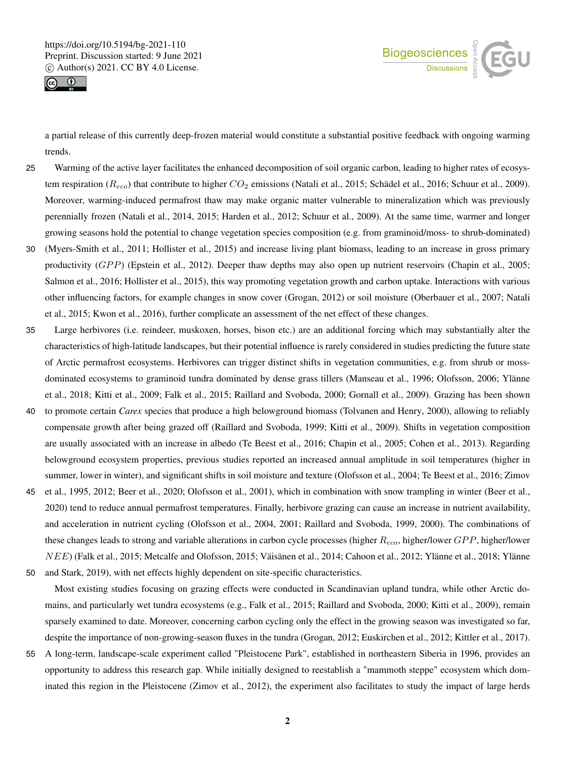



a partial release of this currently deep-frozen material would constitute a substantial positive feedback with ongoing warming trends.

- 25 Warming of the active layer facilitates the enhanced decomposition of soil organic carbon, leading to higher rates of ecosystem respiration ( $R_{eco}$ ) that contribute to higher  $CO_2$  emissions (Natali et al., 2015; Schädel et al., 2016; Schuur et al., 2009). Moreover, warming-induced permafrost thaw may make organic matter vulnerable to mineralization which was previously perennially frozen (Natali et al., 2014, 2015; Harden et al., 2012; Schuur et al., 2009). At the same time, warmer and longer growing seasons hold the potential to change vegetation species composition (e.g. from graminoid/moss- to shrub-dominated)
- 30 (Myers-Smith et al., 2011; Hollister et al., 2015) and increase living plant biomass, leading to an increase in gross primary productivity (GPP) (Epstein et al., 2012). Deeper thaw depths may also open up nutrient reservoirs (Chapin et al., 2005; Salmon et al., 2016; Hollister et al., 2015), this way promoting vegetation growth and carbon uptake. Interactions with various other influencing factors, for example changes in snow cover (Grogan, 2012) or soil moisture (Oberbauer et al., 2007; Natali et al., 2015; Kwon et al., 2016), further complicate an assessment of the net effect of these changes.
- 35 Large herbivores (i.e. reindeer, muskoxen, horses, bison etc.) are an additional forcing which may substantially alter the characteristics of high-latitude landscapes, but their potential influence is rarely considered in studies predicting the future state of Arctic permafrost ecosystems. Herbivores can trigger distinct shifts in vegetation communities, e.g. from shrub or mossdominated ecosystems to graminoid tundra dominated by dense grass tillers (Manseau et al., 1996; Olofsson, 2006; Ylänne et al., 2018; Kitti et al., 2009; Falk et al., 2015; Raillard and Svoboda, 2000; Gornall et al., 2009). Grazing has been shown
- 40 to promote certain *Carex* species that produce a high belowground biomass (Tolvanen and Henry, 2000), allowing to reliably compensate growth after being grazed off (Raillard and Svoboda, 1999; Kitti et al., 2009). Shifts in vegetation composition are usually associated with an increase in albedo (Te Beest et al., 2016; Chapin et al., 2005; Cohen et al., 2013). Regarding belowground ecosystem properties, previous studies reported an increased annual amplitude in soil temperatures (higher in summer, lower in winter), and significant shifts in soil moisture and texture (Olofsson et al., 2004; Te Beest et al., 2016; Zimov
- 45 et al., 1995, 2012; Beer et al., 2020; Olofsson et al., 2001), which in combination with snow trampling in winter (Beer et al., 2020) tend to reduce annual permafrost temperatures. Finally, herbivore grazing can cause an increase in nutrient availability, and acceleration in nutrient cycling (Olofsson et al., 2004, 2001; Raillard and Svoboda, 1999, 2000). The combinations of these changes leads to strong and variable alterations in carbon cycle processes (higher  $R_{eco}$ , higher/lower  $GPP$ , higher/lower NEE) (Falk et al., 2015; Metcalfe and Olofsson, 2015; Väisänen et al., 2014; Cahoon et al., 2012; Ylänne et al., 2018; Ylänne
- 50 and Stark, 2019), with net effects highly dependent on site-specific characteristics.

Most existing studies focusing on grazing effects were conducted in Scandinavian upland tundra, while other Arctic domains, and particularly wet tundra ecosystems (e.g., Falk et al., 2015; Raillard and Svoboda, 2000; Kitti et al., 2009), remain sparsely examined to date. Moreover, concerning carbon cycling only the effect in the growing season was investigated so far, despite the importance of non-growing-season fluxes in the tundra (Grogan, 2012; Euskirchen et al., 2012; Kittler et al., 2017).

55 A long-term, landscape-scale experiment called "Pleistocene Park", established in northeastern Siberia in 1996, provides an opportunity to address this research gap. While initially designed to reestablish a "mammoth steppe" ecosystem which dominated this region in the Pleistocene (Zimov et al., 2012), the experiment also facilitates to study the impact of large herds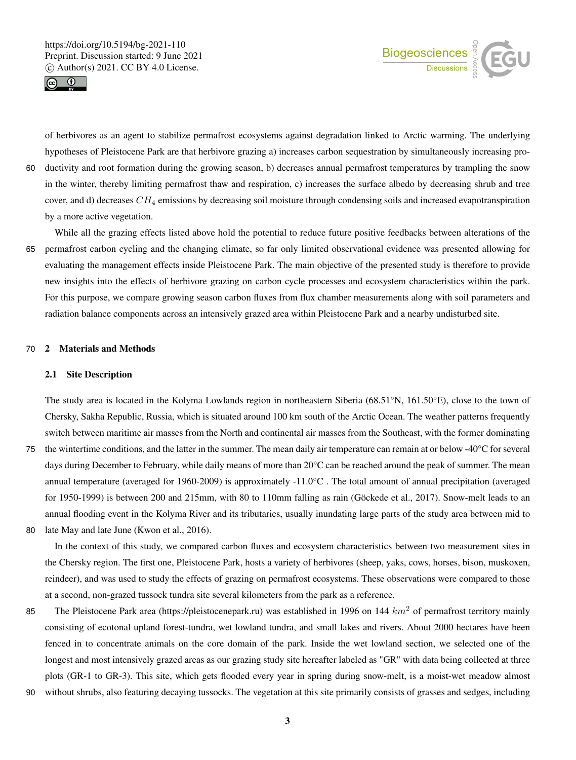



of herbivores as an agent to stabilize permafrost ecosystems against degradation linked to Arctic warming. The underlying hypotheses of Pleistocene Park are that herbivore grazing a) increases carbon sequestration by simultaneously increasing pro-

60 ductivity and root formation during the growing season, b) decreases annual permafrost temperatures by trampling the snow in the winter, thereby limiting permafrost thaw and respiration, c) increases the surface albedo by decreasing shrub and tree cover, and d) decreases  $CH_4$  emissions by decreasing soil moisture through condensing soils and increased evapotranspiration by a more active vegetation.

While all the grazing effects listed above hold the potential to reduce future positive feedbacks between alterations of the 65 permafrost carbon cycling and the changing climate, so far only limited observational evidence was presented allowing for evaluating the management effects inside Pleistocene Park. The main objective of the presented study is therefore to provide new insights into the effects of herbivore grazing on carbon cycle processes and ecosystem characteristics within the park. For this purpose, we compare growing season carbon fluxes from flux chamber measurements along with soil parameters and radiation balance components across an intensively grazed area within Pleistocene Park and a nearby undisturbed site.

## 70 2 Materials and Methods

## 2.1 Site Description

The study area is located in the Kolyma Lowlands region in northeastern Siberia (68.51°N, 161.50°E), close to the town of Chersky, Sakha Republic, Russia, which is situated around 100 km south of the Arctic Ocean. The weather patterns frequently switch between maritime air masses from the North and continental air masses from the Southeast, with the former dominating

- 75 the wintertime conditions, and the latter in the summer. The mean daily air temperature can remain at or below  $-40^{\circ}$ C for several days during December to February, while daily means of more than 20°C can be reached around the peak of summer. The mean annual temperature (averaged for 1960-2009) is approximately -11.0°C . The total amount of annual precipitation (averaged for 1950-1999) is between 200 and 215mm, with 80 to 110mm falling as rain (Göckede et al., 2017). Snow-melt leads to an annual flooding event in the Kolyma River and its tributaries, usually inundating large parts of the study area between mid to
- 80 late May and late June (Kwon et al., 2016).

In the context of this study, we compared carbon fluxes and ecosystem characteristics between two measurement sites in the Chersky region. The first one, Pleistocene Park, hosts a variety of herbivores (sheep, yaks, cows, horses, bison, muskoxen, reindeer), and was used to study the effects of grazing on permafrost ecosystems. These observations were compared to those at a second, non-grazed tussock tundra site several kilometers from the park as a reference.

- 85 The Pleistocene Park area (https://pleistocenepark.ru) was established in 1996 on 144  $km^2$  of permafrost territory mainly consisting of ecotonal upland forest-tundra, wet lowland tundra, and small lakes and rivers. About 2000 hectares have been fenced in to concentrate animals on the core domain of the park. Inside the wet lowland section, we selected one of the longest and most intensively grazed areas as our grazing study site hereafter labeled as "GR" with data being collected at three plots (GR-1 to GR-3). This site, which gets flooded every year in spring during snow-melt, is a moist-wet meadow almost
- 90 without shrubs, also featuring decaying tussocks. The vegetation at this site primarily consists of grasses and sedges, including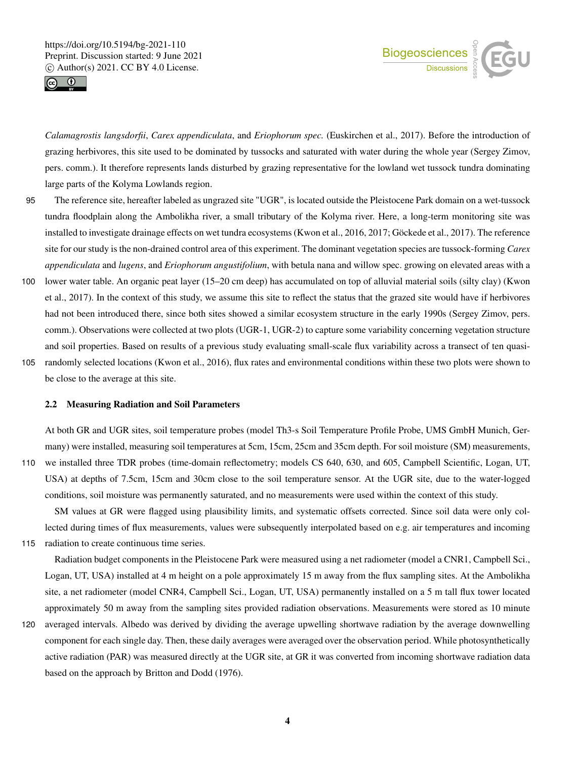



*Calamagrostis langsdorfii*, *Carex appendiculata*, and *Eriophorum spec.* (Euskirchen et al., 2017). Before the introduction of grazing herbivores, this site used to be dominated by tussocks and saturated with water during the whole year (Sergey Zimov, pers. comm.). It therefore represents lands disturbed by grazing representative for the lowland wet tussock tundra dominating large parts of the Kolyma Lowlands region.

- 95 The reference site, hereafter labeled as ungrazed site "UGR", is located outside the Pleistocene Park domain on a wet-tussock tundra floodplain along the Ambolikha river, a small tributary of the Kolyma river. Here, a long-term monitoring site was installed to investigate drainage effects on wet tundra ecosystems (Kwon et al., 2016, 2017; Göckede et al., 2017). The reference site for our study is the non-drained control area of this experiment. The dominant vegetation species are tussock-forming *Carex appendiculata* and *lugens*, and *Eriophorum angustifolium*, with betula nana and willow spec. growing on elevated areas with a
- 100 lower water table. An organic peat layer (15–20 cm deep) has accumulated on top of alluvial material soils (silty clay) (Kwon et al., 2017). In the context of this study, we assume this site to reflect the status that the grazed site would have if herbivores had not been introduced there, since both sites showed a similar ecosystem structure in the early 1990s (Sergey Zimov, pers. comm.). Observations were collected at two plots (UGR-1, UGR-2) to capture some variability concerning vegetation structure and soil properties. Based on results of a previous study evaluating small-scale flux variability across a transect of ten quasi-
- 105 randomly selected locations (Kwon et al., 2016), flux rates and environmental conditions within these two plots were shown to be close to the average at this site.

## 2.2 Measuring Radiation and Soil Parameters

At both GR and UGR sites, soil temperature probes (model Th3-s Soil Temperature Profile Probe, UMS GmbH Munich, Germany) were installed, measuring soil temperatures at 5cm, 15cm, 25cm and 35cm depth. For soil moisture (SM) measurements, 110 we installed three TDR probes (time-domain reflectometry; models CS 640, 630, and 605, Campbell Scientific, Logan, UT, USA) at depths of 7.5cm, 15cm and 30cm close to the soil temperature sensor. At the UGR site, due to the water-logged

SM values at GR were flagged using plausibility limits, and systematic offsets corrected. Since soil data were only collected during times of flux measurements, values were subsequently interpolated based on e.g. air temperatures and incoming

conditions, soil moisture was permanently saturated, and no measurements were used within the context of this study.

115 radiation to create continuous time series.

Radiation budget components in the Pleistocene Park were measured using a net radiometer (model a CNR1, Campbell Sci., Logan, UT, USA) installed at 4 m height on a pole approximately 15 m away from the flux sampling sites. At the Ambolikha site, a net radiometer (model CNR4, Campbell Sci., Logan, UT, USA) permanently installed on a 5 m tall flux tower located approximately 50 m away from the sampling sites provided radiation observations. Measurements were stored as 10 minute

120 averaged intervals. Albedo was derived by dividing the average upwelling shortwave radiation by the average downwelling component for each single day. Then, these daily averages were averaged over the observation period. While photosynthetically active radiation (PAR) was measured directly at the UGR site, at GR it was converted from incoming shortwave radiation data based on the approach by Britton and Dodd (1976).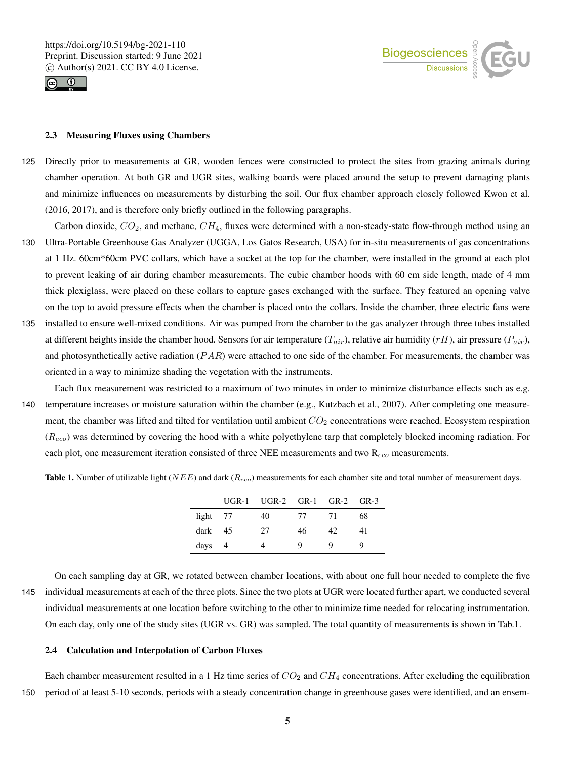



## 2.3 Measuring Fluxes using Chambers

- 125 Directly prior to measurements at GR, wooden fences were constructed to protect the sites from grazing animals during chamber operation. At both GR and UGR sites, walking boards were placed around the setup to prevent damaging plants and minimize influences on measurements by disturbing the soil. Our flux chamber approach closely followed Kwon et al. (2016, 2017), and is therefore only briefly outlined in the following paragraphs.
- Carbon dioxide,  $CO_2$ , and methane,  $CH_4$ , fluxes were determined with a non-steady-state flow-through method using an 130 Ultra-Portable Greenhouse Gas Analyzer (UGGA, Los Gatos Research, USA) for in-situ measurements of gas concentrations at 1 Hz. 60cm\*60cm PVC collars, which have a socket at the top for the chamber, were installed in the ground at each plot to prevent leaking of air during chamber measurements. The cubic chamber hoods with 60 cm side length, made of 4 mm thick plexiglass, were placed on these collars to capture gases exchanged with the surface. They featured an opening valve on the top to avoid pressure effects when the chamber is placed onto the collars. Inside the chamber, three electric fans were
- 135 installed to ensure well-mixed conditions. Air was pumped from the chamber to the gas analyzer through three tubes installed at different heights inside the chamber hood. Sensors for air temperature  $(T_{air})$ , relative air humidity (rH), air pressure ( $P_{air}$ ), and photosynthetically active radiation  $(PAR)$  were attached to one side of the chamber. For measurements, the chamber was oriented in a way to minimize shading the vegetation with the instruments.
- Each flux measurement was restricted to a maximum of two minutes in order to minimize disturbance effects such as e.g. 140 temperature increases or moisture saturation within the chamber (e.g., Kutzbach et al., 2007). After completing one measurement, the chamber was lifted and tilted for ventilation until ambient  $CO<sub>2</sub>$  concentrations were reached. Ecosystem respiration  $(R_{eco})$  was determined by covering the hood with a white polyethylene tarp that completely blocked incoming radiation. For each plot, one measurement iteration consisted of three NEE measurements and two  $R_{eco}$  measurements.

**Table 1.** Number of utilizable light ( $NEE$ ) and dark ( $R_{eco}$ ) measurements for each chamber site and total number of measurement days.

|            | UGR-1 UGR-2 GR-1 GR-2 GR-3 |    |      |    |
|------------|----------------------------|----|------|----|
| $light$ 77 | 40                         | 77 | - 71 | 68 |
| dark $45$  | 27                         | 46 | 42.  | 41 |
| $days$ 4   |                            | Q  | Q    |    |

On each sampling day at GR, we rotated between chamber locations, with about one full hour needed to complete the five 145 individual measurements at each of the three plots. Since the two plots at UGR were located further apart, we conducted several individual measurements at one location before switching to the other to minimize time needed for relocating instrumentation. On each day, only one of the study sites (UGR vs. GR) was sampled. The total quantity of measurements is shown in Tab.1.

## 2.4 Calculation and Interpolation of Carbon Fluxes

Each chamber measurement resulted in a 1 Hz time series of  $CO<sub>2</sub>$  and  $CH<sub>4</sub>$  concentrations. After excluding the equilibration 150 period of at least 5-10 seconds, periods with a steady concentration change in greenhouse gases were identified, and an ensem-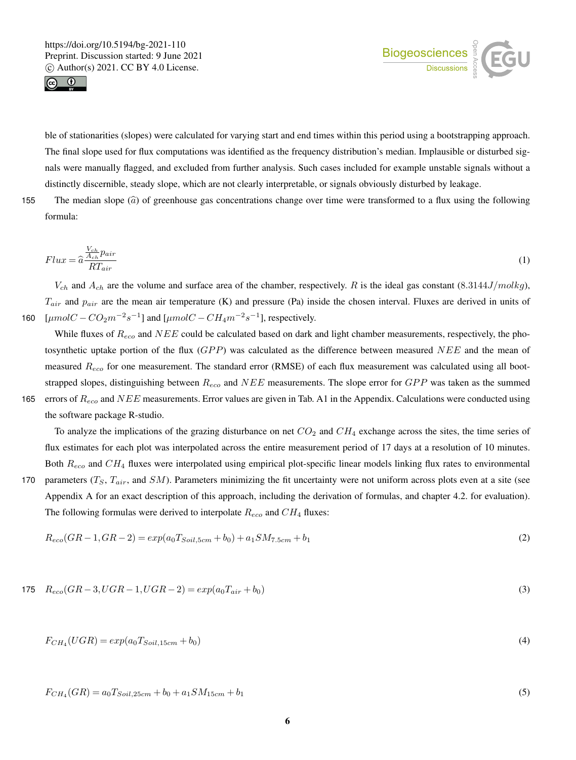



ble of stationarities (slopes) were calculated for varying start and end times within this period using a bootstrapping approach. The final slope used for flux computations was identified as the frequency distribution's median. Implausible or disturbed signals were manually flagged, and excluded from further analysis. Such cases included for example unstable signals without a distinctly discernible, steady slope, which are not clearly interpretable, or signals obviously disturbed by leakage.

155 The median slope  $(\hat{a})$  of greenhouse gas concentrations change over time were transformed to a flux using the following formula:

$$
Flux = \hat{a} \frac{\frac{V_{ch}}{A_{ch}} pair}{RT_{air}} \tag{1}
$$

 $V_{ch}$  and  $A_{ch}$  are the volume and surface area of the chamber, respectively. R is the ideal gas constant (8.3144J/molkg),  $T_{air}$  and  $p_{air}$  are the mean air temperature (K) and pressure (Pa) inside the chosen interval. Fluxes are derived in units of 160  $\left[ \mu mol C - C O_2 m^{-2} s^{-1} \right]$  and  $\left[ \mu mol C - C H_4 m^{-2} s^{-1} \right]$ , respectively.

While fluxes of  $R_{eco}$  and  $NEE$  could be calculated based on dark and light chamber measurements, respectively, the photosynthetic uptake portion of the flux  $(GPP)$  was calculated as the difference between measured NEE and the mean of measured  $R_{eco}$  for one measurement. The standard error (RMSE) of each flux measurement was calculated using all bootstrapped slopes, distinguishing between  $R_{eco}$  and  $NEE$  measurements. The slope error for  $GPP$  was taken as the summed 165 errors of  $R_{eco}$  and  $NEE$  measurements. Error values are given in Tab. A1 in the Appendix. Calculations were conducted using

the software package R-studio.

To analyze the implications of the grazing disturbance on net  $CO_2$  and  $CH_4$  exchange across the sites, the time series of flux estimates for each plot was interpolated across the entire measurement period of 17 days at a resolution of 10 minutes. Both  $R_{eco}$  and  $CH_4$  fluxes were interpolated using empirical plot-specific linear models linking flux rates to environmental

170 parameters  $(T_S, T_{air},$  and  $SM$ ). Parameters minimizing the fit uncertainty were not uniform across plots even at a site (see Appendix A for an exact description of this approach, including the derivation of formulas, and chapter 4.2. for evaluation). The following formulas were derived to interpolate  $R_{eco}$  and  $CH_4$  fluxes:

$$
R_{eco}(GR-1, GR-2) = exp(a_0T_{Soil, 5cm} + b_0) + a_1SM_{7.5cm} + b_1
$$
\n(2)

$$
175 \quad R_{eco}(GR-3, UGR-1, UGR-2) = exp(a_0T_{air} + b_0)
$$
\n(3)

$$
F_{CH_4}(UGR) = exp(a_0 T_{Soil, 15cm} + b_0)
$$
\n(4)

$$
F_{CH_4}(GR) = a_0 T_{Soil, 25cm} + b_0 + a_1 SM_{15cm} + b_1
$$
\n<sup>(5)</sup>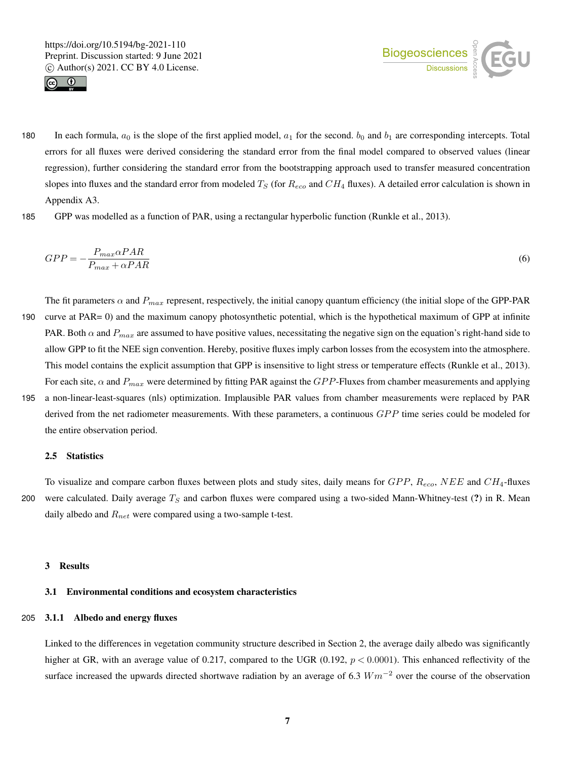



- 180 In each formula,  $a_0$  is the slope of the first applied model,  $a_1$  for the second.  $b_0$  and  $b_1$  are corresponding intercepts. Total errors for all fluxes were derived considering the standard error from the final model compared to observed values (linear regression), further considering the standard error from the bootstrapping approach used to transfer measured concentration slopes into fluxes and the standard error from modeled  $T_S$  (for  $R_{eco}$  and  $CH_4$  fluxes). A detailed error calculation is shown in Appendix A3.
- 185 GPP was modelled as a function of PAR, using a rectangular hyperbolic function (Runkle et al., 2013).

$$
GPP = -\frac{P_{max}\alpha PAR}{P_{max} + \alpha PAR}
$$
\n(6)

- The fit parameters  $\alpha$  and  $P_{max}$  represent, respectively, the initial canopy quantum efficiency (the initial slope of the GPP-PAR 190 curve at PAR= 0) and the maximum canopy photosynthetic potential, which is the hypothetical maximum of GPP at infinite PAR. Both  $\alpha$  and  $P_{max}$  are assumed to have positive values, necessitating the negative sign on the equation's right-hand side to allow GPP to fit the NEE sign convention. Hereby, positive fluxes imply carbon losses from the ecosystem into the atmosphere. This model contains the explicit assumption that GPP is insensitive to light stress or temperature effects (Runkle et al., 2013). For each site,  $\alpha$  and  $P_{max}$  were determined by fitting PAR against the GPP-Fluxes from chamber measurements and applying
- 195 a non-linear-least-squares (nls) optimization. Implausible PAR values from chamber measurements were replaced by PAR derived from the net radiometer measurements. With these parameters, a continuous GPP time series could be modeled for the entire observation period.

#### 2.5 Statistics

To visualize and compare carbon fluxes between plots and study sites, daily means for  $GPP$ ,  $R_{eco}$ ,  $NEE$  and  $CH_4$ -fluxes 200 were calculated. Daily average  $T<sub>S</sub>$  and carbon fluxes were compared using a two-sided Mann-Whitney-test (?) in R. Mean daily albedo and  $R_{net}$  were compared using a two-sample t-test.

# 3 Results

## 3.1 Environmental conditions and ecosystem characteristics

## 205 3.1.1 Albedo and energy fluxes

Linked to the differences in vegetation community structure described in Section 2, the average daily albedo was significantly higher at GR, with an average value of 0.217, compared to the UGR (0.192,  $p < 0.0001$ ). This enhanced reflectivity of the surface increased the upwards directed shortwave radiation by an average of 6.3  $Wm^{-2}$  over the course of the observation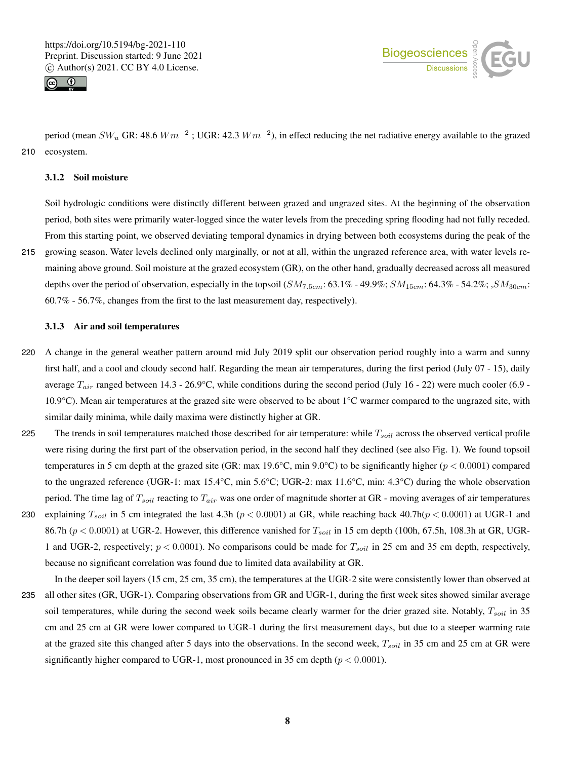



period (mean  $SW_u$  GR: 48.6  $Wm^{-2}$  ; UGR: 42.3  $Wm^{-2}$ ), in effect reducing the net radiative energy available to the grazed 210 ecosystem.

## 3.1.2 Soil moisture

Soil hydrologic conditions were distinctly different between grazed and ungrazed sites. At the beginning of the observation period, both sites were primarily water-logged since the water levels from the preceding spring flooding had not fully receded. From this starting point, we observed deviating temporal dynamics in drying between both ecosystems during the peak of the

215 growing season. Water levels declined only marginally, or not at all, within the ungrazed reference area, with water levels remaining above ground. Soil moisture at the grazed ecosystem (GR), on the other hand, gradually decreased across all measured depths over the period of observation, especially in the topsoil  $(SM_{7.5cm}: 63.1\% - 49.9\%; SM_{15cm}: 64.3\% - 54.2\%; SM_{30cm}:$ 60.7% - 56.7%, changes from the first to the last measurement day, respectively).

## 3.1.3 Air and soil temperatures

- 220 A change in the general weather pattern around mid July 2019 split our observation period roughly into a warm and sunny first half, and a cool and cloudy second half. Regarding the mean air temperatures, during the first period (July 07 - 15), daily average  $T_{air}$  ranged between 14.3 - 26.9°C, while conditions during the second period (July 16 - 22) were much cooler (6.9 -10.9°C). Mean air temperatures at the grazed site were observed to be about 1°C warmer compared to the ungrazed site, with similar daily minima, while daily maxima were distinctly higher at GR.
- 225 The trends in soil temperatures matched those described for air temperature: while  $T<sub>soil</sub>$  across the observed vertical profile were rising during the first part of the observation period, in the second half they declined (see also Fig. 1). We found topsoil temperatures in 5 cm depth at the grazed site (GR: max 19.6°C, min 9.0°C) to be significantly higher ( $p < 0.0001$ ) compared to the ungrazed reference (UGR-1: max 15.4°C, min 5.6°C; UGR-2: max 11.6°C, min: 4.3°C) during the whole observation period. The time lag of  $T_{soil}$  reacting to  $T_{air}$  was one order of magnitude shorter at GR - moving averages of air temperatures
- 230 explaining  $T_{soil}$  in 5 cm integrated the last 4.3h ( $p < 0.0001$ ) at GR, while reaching back 40.7h( $p < 0.0001$ ) at UGR-1 and 86.7h ( $p < 0.0001$ ) at UGR-2. However, this difference vanished for  $T_{soil}$  in 15 cm depth (100h, 67.5h, 108.3h at GR, UGR-1 and UGR-2, respectively;  $p < 0.0001$ ). No comparisons could be made for  $T_{soil}$  in 25 cm and 35 cm depth, respectively, because no significant correlation was found due to limited data availability at GR.

In the deeper soil layers (15 cm, 25 cm, 35 cm), the temperatures at the UGR-2 site were consistently lower than observed at 235 all other sites (GR, UGR-1). Comparing observations from GR and UGR-1, during the first week sites showed similar average soil temperatures, while during the second week soils became clearly warmer for the drier grazed site. Notably,  $T_{soil}$  in 35 cm and 25 cm at GR were lower compared to UGR-1 during the first measurement days, but due to a steeper warming rate at the grazed site this changed after 5 days into the observations. In the second week,  $T_{soil}$  in 35 cm and 25 cm at GR were significantly higher compared to UGR-1, most pronounced in 35 cm depth ( $p < 0.0001$ ).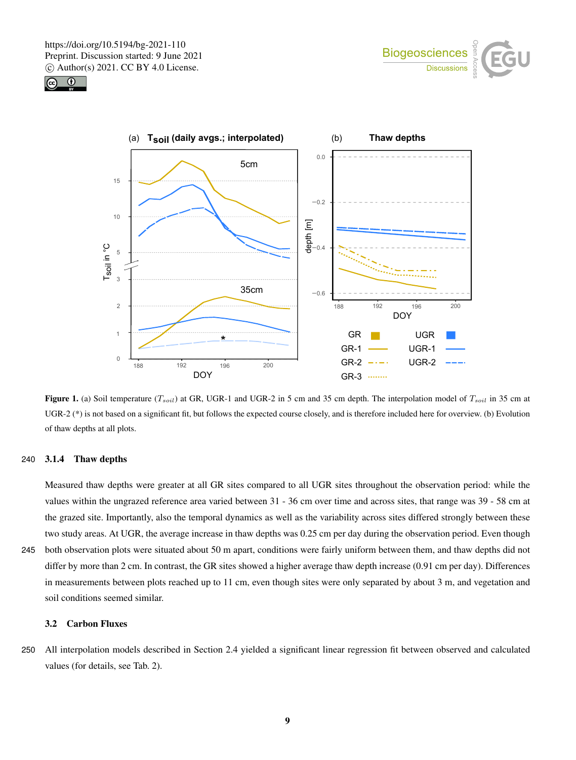





Figure 1. (a) Soil temperature  $(T<sub>soil</sub>)$  at GR, UGR-1 and UGR-2 in 5 cm and 35 cm depth. The interpolation model of  $T<sub>soil</sub>$  in 35 cm at UGR-2 (\*) is not based on a significant fit, but follows the expected course closely, and is therefore included here for overview. (b) Evolution of thaw depths at all plots.

## 240 3.1.4 Thaw depths

Measured thaw depths were greater at all GR sites compared to all UGR sites throughout the observation period: while the values within the ungrazed reference area varied between 31 - 36 cm over time and across sites, that range was 39 - 58 cm at the grazed site. Importantly, also the temporal dynamics as well as the variability across sites differed strongly between these two study areas. At UGR, the average increase in thaw depths was 0.25 cm per day during the observation period. Even though

245 both observation plots were situated about 50 m apart, conditions were fairly uniform between them, and thaw depths did not differ by more than 2 cm. In contrast, the GR sites showed a higher average thaw depth increase (0.91 cm per day). Differences in measurements between plots reached up to 11 cm, even though sites were only separated by about 3 m, and vegetation and soil conditions seemed similar.

# 3.2 Carbon Fluxes

250 All interpolation models described in Section 2.4 yielded a significant linear regression fit between observed and calculated values (for details, see Tab. 2).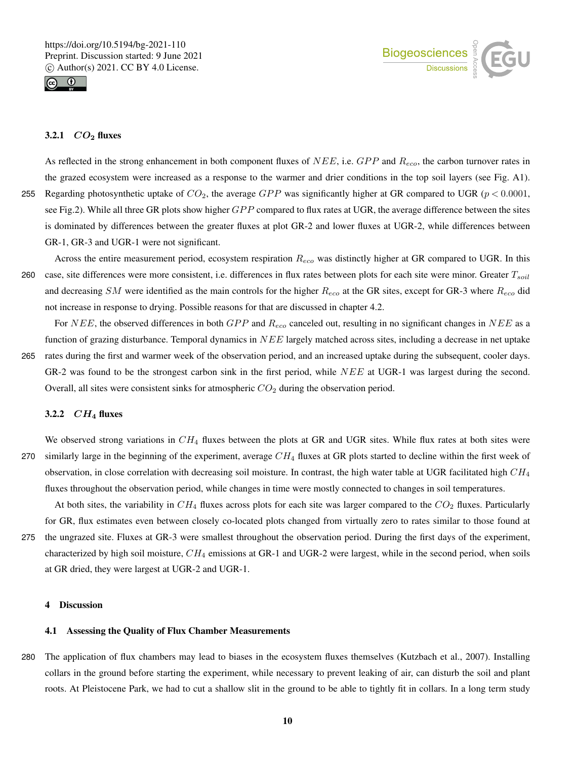

# 3.2.1  $CO<sub>2</sub>$  fluxes

As reflected in the strong enhancement in both component fluxes of  $NEE$ , i.e.  $GPP$  and  $R_{eco}$ , the carbon turnover rates in the grazed ecosystem were increased as a response to the warmer and drier conditions in the top soil layers (see Fig. A1). 255 Regarding photosynthetic uptake of  $CO_2$ , the average  $GPP$  was significantly higher at GR compared to UGR ( $p < 0.0001$ , see Fig.2). While all three GR plots show higher  $GPP$  compared to flux rates at UGR, the average difference between the sites is dominated by differences between the greater fluxes at plot GR-2 and lower fluxes at UGR-2, while differences between GR-1, GR-3 and UGR-1 were not significant.

Across the entire measurement period, ecosystem respiration  $R_{eco}$  was distinctly higher at GR compared to UGR. In this 260 case, site differences were more consistent, i.e. differences in flux rates between plots for each site were minor. Greater  $T_{soil}$ and decreasing SM were identified as the main controls for the higher  $R_{eco}$  at the GR sites, except for GR-3 where  $R_{eco}$  did not increase in response to drying. Possible reasons for that are discussed in chapter 4.2.

For NEE, the observed differences in both  $GPP$  and  $R_{eco}$  canceled out, resulting in no significant changes in NEE as a function of grazing disturbance. Temporal dynamics in  $NEE$  largely matched across sites, including a decrease in net uptake 265 rates during the first and warmer week of the observation period, and an increased uptake during the subsequent, cooler days. GR-2 was found to be the strongest carbon sink in the first period, while NEE at UGR-1 was largest during the second. Overall, all sites were consistent sinks for atmospheric  $CO<sub>2</sub>$  during the observation period.

# 3.2.2  $CH_4$  fluxes

We observed strong variations in  $CH_4$  fluxes between the plots at GR and UGR sites. While flux rates at both sites were 270 similarly large in the beginning of the experiment, average  $CH_4$  fluxes at GR plots started to decline within the first week of observation, in close correlation with decreasing soil moisture. In contrast, the high water table at UGR facilitated high  $CH<sub>4</sub>$ fluxes throughout the observation period, while changes in time were mostly connected to changes in soil temperatures.

At both sites, the variability in  $CH_4$  fluxes across plots for each site was larger compared to the  $CO_2$  fluxes. Particularly for GR, flux estimates even between closely co-located plots changed from virtually zero to rates similar to those found at

275 the ungrazed site. Fluxes at GR-3 were smallest throughout the observation period. During the first days of the experiment, characterized by high soil moisture,  $CH_4$  emissions at GR-1 and UGR-2 were largest, while in the second period, when soils at GR dried, they were largest at UGR-2 and UGR-1.

## 4 Discussion

## 4.1 Assessing the Quality of Flux Chamber Measurements

280 The application of flux chambers may lead to biases in the ecosystem fluxes themselves (Kutzbach et al., 2007). Installing collars in the ground before starting the experiment, while necessary to prevent leaking of air, can disturb the soil and plant roots. At Pleistocene Park, we had to cut a shallow slit in the ground to be able to tightly fit in collars. In a long term study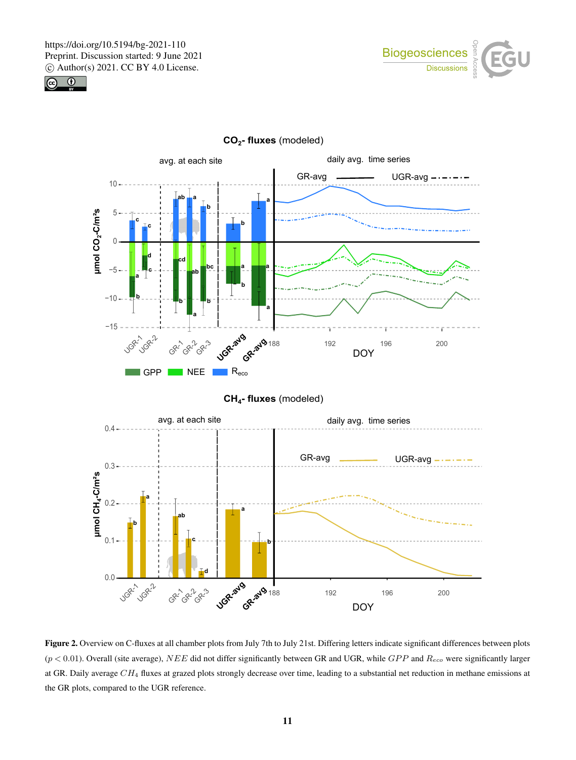





**CO2- fluxes** (modeled)

Figure 2. Overview on C-fluxes at all chamber plots from July 7th to July 21st. Differing letters indicate significant differences between plots  $(p < 0.01)$ . Overall (site average), NEE did not differ significantly between GR and UGR, while  $GPP$  and  $R_{eco}$  were significantly larger at GR. Daily average  $CH_4$  fluxes at grazed plots strongly decrease over time, leading to a substantial net reduction in methane emissions at the GR plots, compared to the UGR reference.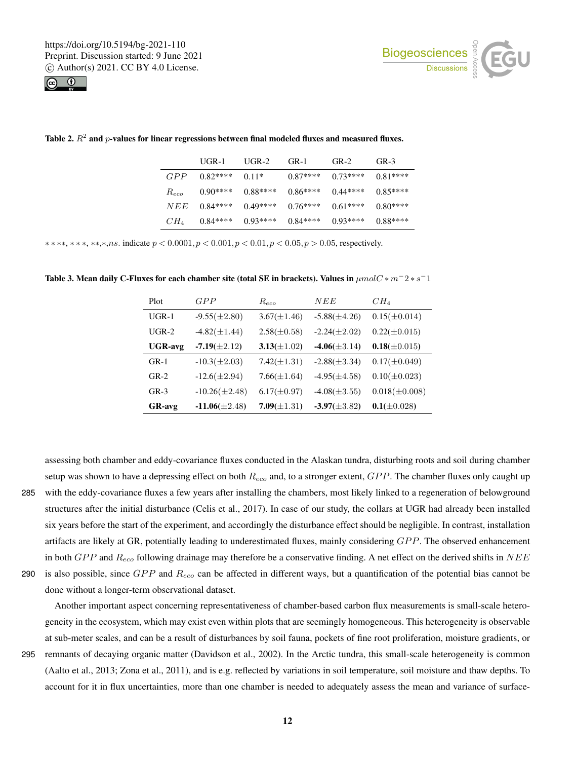



|           | $U$ GR-1   | $U$ GR-2  | $G_{R-1}$ | $G_{R-2}$ | $G_{R-3}$ |
|-----------|------------|-----------|-----------|-----------|-----------|
| GPP       | $0.82***$  | $0.11*$   | $0.87***$ | $0.73***$ | $0.81***$ |
| $R_{eco}$ | $(0.90***$ | $0.88***$ | $0.86***$ | $0.44***$ | $0.85***$ |
| NEE       | $0.84***$  | $0.49***$ | $0.76***$ | $0.61***$ | $0.80***$ |
| $CH_4$    | $0.84***$  | $0.93***$ | $0.84***$ | $0.93***$ | $0.88***$ |

Table 2.  $R^2$  and  $p$ -values for linear regressions between final modeled fluxes and measured fluxes.

 $***$ ,  $***$ ,  $***$ ,  $***$ ,  $ns$ . indicate  $p < 0.0001$ ,  $p < 0.001$ ,  $p < 0.01$ ,  $p < 0.05$ ,  $p > 0.05$ , respectively.

| Plot           | GPP                | $R_{eco}$        | NEE               | $CH_4$             |
|----------------|--------------------|------------------|-------------------|--------------------|
| $UGR-1$        | $-9.55(\pm 2.80)$  | $3.67(\pm1.46)$  | $-5.88(\pm 4.26)$ | $0.15(\pm 0.014)$  |
| $UGR-2$        | $-4.82(\pm 1.44)$  | $2.58(\pm 0.58)$ | $-2.24(\pm 2.02)$ | $0.22(\pm 0.015)$  |
| <b>UGR-avg</b> | $-7.19(\pm2.12)$   | $3.13(\pm 1.02)$ | $-4.06(\pm 3.14)$ | $0.18(\pm 0.015)$  |
| $GR-1$         | $-10.3(\pm 2.03)$  | $7.42(\pm 1.31)$ | $-2.88(\pm 3.34)$ | $0.17(\pm 0.049)$  |
| $GR-2$         | $-12.6(\pm 2.94)$  | $7.66(\pm1.64)$  | $-4.95(\pm 4.58)$ | $0.10(\pm 0.023)$  |
| $GR-3$         | $-10.26(\pm 2.48)$ | $6.17(\pm 0.97)$ | $-4.08(\pm 3.55)$ | $0.018(\pm 0.008)$ |
| <b>GR-avg</b>  | $-11.06(\pm2.48)$  | $7.09(\pm 1.31)$ | $-3.97(\pm 3.82)$ | $0.1(\pm 0.028)$   |

Table 3. Mean daily C-Fluxes for each chamber site (total SE in brackets). Values in  $\mu mol C * m^-2 * s^-1$ 

setup was shown to have a depressing effect on both  $R_{eco}$  and, to a stronger extent,  $GPP$ . The chamber fluxes only caught up 285 with the eddy-covariance fluxes a few years after installing the chambers, most likely linked to a regeneration of belowground structures after the initial disturbance (Celis et al., 2017). In case of our study, the collars at UGR had already been installed six years before the start of the experiment, and accordingly the disturbance effect should be negligible. In contrast, installation artifacts are likely at GR, potentially leading to underestimated fluxes, mainly considering  $GPP$ . The observed enhancement in both  $GPP$  and  $R_{eco}$  following drainage may therefore be a conservative finding. A net effect on the derived shifts in  $NEE$ 290 is also possible, since  $GPP$  and  $R_{eco}$  can be affected in different ways, but a quantification of the potential bias cannot be done without a longer-term observational dataset.

assessing both chamber and eddy-covariance fluxes conducted in the Alaskan tundra, disturbing roots and soil during chamber

Another important aspect concerning representativeness of chamber-based carbon flux measurements is small-scale heterogeneity in the ecosystem, which may exist even within plots that are seemingly homogeneous. This heterogeneity is observable at sub-meter scales, and can be a result of disturbances by soil fauna, pockets of fine root proliferation, moisture gradients, or 295 remnants of decaying organic matter (Davidson et al., 2002). In the Arctic tundra, this small-scale heterogeneity is common (Aalto et al., 2013; Zona et al., 2011), and is e.g. reflected by variations in soil temperature, soil moisture and thaw depths. To

account for it in flux uncertainties, more than one chamber is needed to adequately assess the mean and variance of surface-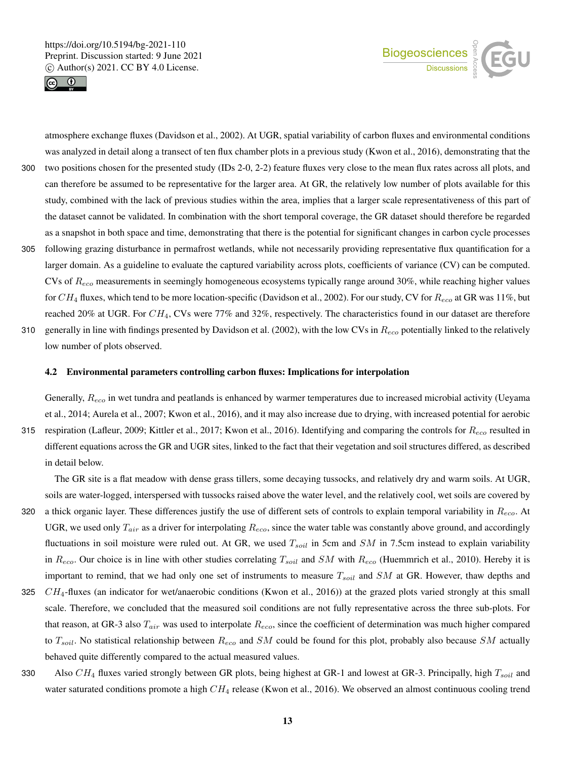



atmosphere exchange fluxes (Davidson et al., 2002). At UGR, spatial variability of carbon fluxes and environmental conditions was analyzed in detail along a transect of ten flux chamber plots in a previous study (Kwon et al., 2016), demonstrating that the 300 two positions chosen for the presented study (IDs 2-0, 2-2) feature fluxes very close to the mean flux rates across all plots, and can therefore be assumed to be representative for the larger area. At GR, the relatively low number of plots available for this study, combined with the lack of previous studies within the area, implies that a larger scale representativeness of this part of the dataset cannot be validated. In combination with the short temporal coverage, the GR dataset should therefore be regarded as a snapshot in both space and time, demonstrating that there is the potential for significant changes in carbon cycle processes 305 following grazing disturbance in permafrost wetlands, while not necessarily providing representative flux quantification for a larger domain. As a guideline to evaluate the captured variability across plots, coefficients of variance (CV) can be computed. CVs of  $R_{eco}$  measurements in seemingly homogeneous ecosystems typically range around 30%, while reaching higher values for  $CH_4$  fluxes, which tend to be more location-specific (Davidson et al., 2002). For our study, CV for  $R_{eco}$  at GR was 11%, but reached 20% at UGR. For  $CH_4$ , CVs were 77% and 32%, respectively. The characteristics found in our dataset are therefore

310 generally in line with findings presented by Davidson et al. (2002), with the low CVs in  $R_{eco}$  potentially linked to the relatively low number of plots observed.

## 4.2 Environmental parameters controlling carbon fluxes: Implications for interpolation

Generally,  $R_{eco}$  in wet tundra and peatlands is enhanced by warmer temperatures due to increased microbial activity (Ueyama et al., 2014; Aurela et al., 2007; Kwon et al., 2016), and it may also increase due to drying, with increased potential for aerobic 315 respiration (Lafleur, 2009; Kittler et al., 2017; Kwon et al., 2016). Identifying and comparing the controls for  $R_{eco}$  resulted in different equations across the GR and UGR sites, linked to the fact that their vegetation and soil structures differed, as described

in detail below.

The GR site is a flat meadow with dense grass tillers, some decaying tussocks, and relatively dry and warm soils. At UGR, soils are water-logged, interspersed with tussocks raised above the water level, and the relatively cool, wet soils are covered by

- 320 a thick organic layer. These differences justify the use of different sets of controls to explain temporal variability in  $R_{eco}$ . At UGR, we used only  $T_{air}$  as a driver for interpolating  $R_{eco}$ , since the water table was constantly above ground, and accordingly fluctuations in soil moisture were ruled out. At GR, we used  $T_{soil}$  in 5cm and  $SM$  in 7.5cm instead to explain variability in  $R_{eco}$ . Our choice is in line with other studies correlating  $T_{soil}$  and SM with  $R_{eco}$  (Huemmrich et al., 2010). Hereby it is important to remind, that we had only one set of instruments to measure  $T_{soil}$  and SM at GR. However, thaw depths and
- 325  $CH_4$ -fluxes (an indicator for wet/anaerobic conditions (Kwon et al., 2016)) at the grazed plots varied strongly at this small scale. Therefore, we concluded that the measured soil conditions are not fully representative across the three sub-plots. For that reason, at GR-3 also  $T_{air}$  was used to interpolate  $R_{eco}$ , since the coefficient of determination was much higher compared to  $T_{soil}$ . No statistical relationship between  $R_{eco}$  and SM could be found for this plot, probably also because SM actually behaved quite differently compared to the actual measured values.
- 330 Also  $CH_4$  fluxes varied strongly between GR plots, being highest at GR-1 and lowest at GR-3. Principally, high  $T_{soil}$  and water saturated conditions promote a high  $CH_4$  release (Kwon et al., 2016). We observed an almost continuous cooling trend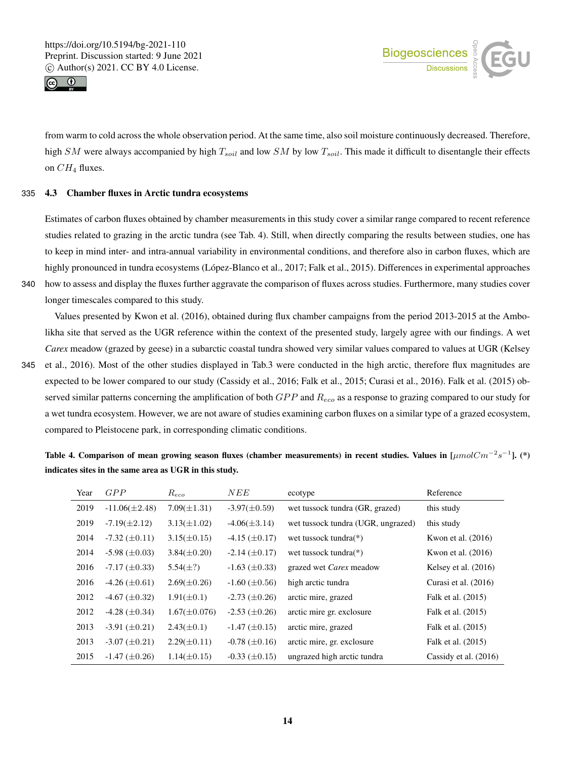



from warm to cold across the whole observation period. At the same time, also soil moisture continuously decreased. Therefore, high SM were always accompanied by high  $T_{soil}$  and low SM by low  $T_{soil}$ . This made it difficult to disentangle their effects on  $CH_4$  fluxes.

## 335 4.3 Chamber fluxes in Arctic tundra ecosystems

Estimates of carbon fluxes obtained by chamber measurements in this study cover a similar range compared to recent reference studies related to grazing in the arctic tundra (see Tab. 4). Still, when directly comparing the results between studies, one has to keep in mind inter- and intra-annual variability in environmental conditions, and therefore also in carbon fluxes, which are highly pronounced in tundra ecosystems (López-Blanco et al., 2017; Falk et al., 2015). Differences in experimental approaches 340 how to assess and display the fluxes further aggravate the comparison of fluxes across studies. Furthermore, many studies cover

longer timescales compared to this study.

Values presented by Kwon et al. (2016), obtained during flux chamber campaigns from the period 2013-2015 at the Ambolikha site that served as the UGR reference within the context of the presented study, largely agree with our findings. A wet *Carex* meadow (grazed by geese) in a subarctic coastal tundra showed very similar values compared to values at UGR (Kelsey

345 et al., 2016). Most of the other studies displayed in Tab.3 were conducted in the high arctic, therefore flux magnitudes are expected to be lower compared to our study (Cassidy et al., 2016; Falk et al., 2015; Curasi et al., 2016). Falk et al. (2015) observed similar patterns concerning the amplification of both  $GPP$  and  $R_{eco}$  as a response to grazing compared to our study for a wet tundra ecosystem. However, we are not aware of studies examining carbon fluxes on a similar type of a grazed ecosystem, compared to Pleistocene park, in corresponding climatic conditions.

Table 4. Comparison of mean growing season fluxes (chamber measurements) in recent studies. Values in  $[\mu mol Cm^{-2}s^{-1}]$ . (\*) indicates sites in the same area as UGR in this study.

| Year | GPP                  | $R_{eco}$         | NEE                  | ecotype                            | Reference               |
|------|----------------------|-------------------|----------------------|------------------------------------|-------------------------|
| 2019 | $-11.06(\pm2.48)$    | $7.09(\pm 1.31)$  | $-3.97(\pm 0.59)$    | wet tussock tundra (GR, grazed)    | this study              |
| 2019 | $-7.19(\pm 2.12)$    | $3.13(\pm 1.02)$  | $-4.06(\pm 3.14)$    | wet tussock tundra (UGR, ungrazed) | this study              |
| 2014 | $-7.32 \ (\pm 0.11)$ | $3.15(\pm 0.15)$  | $-4.15 \ (\pm 0.17)$ | wet tussock tundra $(*)$           | Kwon et al. $(2016)$    |
| 2014 | $-5.98 \ (\pm 0.03)$ | $3.84(\pm 0.20)$  | $-2.14 \ (\pm 0.17)$ | wet tussock tundra $(*)$           | Kwon et al. (2016)      |
| 2016 | $-7.17 \ (\pm 0.33)$ | $5.54(\pm?)$      | $-1.63 \ (\pm 0.33)$ | grazed wet Carex meadow            | Kelsey et al. $(2016)$  |
| 2016 | $-4.26 \ (\pm 0.61)$ | $2.69(\pm 0.26)$  | $-1.60 \ (\pm 0.56)$ | high arctic tundra                 | Curasi et al. (2016)    |
| 2012 | $-4.67 \ (\pm 0.32)$ | $1.91(\pm 0.1)$   | $-2.73 \ (\pm 0.26)$ | arctic mire, grazed                | Falk et al. (2015)      |
| 2012 | $-4.28 \ (\pm 0.34)$ | $1.67(\pm 0.076)$ | $-2.53 \ (\pm 0.26)$ | arctic mire gr. exclosure          | Falk et al. (2015)      |
| 2013 | $-3.91 \ (\pm 0.21)$ | $2.43(\pm 0.1)$   | $-1.47 \ (\pm 0.15)$ | arctic mire, grazed                | Falk et al. (2015)      |
| 2013 | $-3.07 \ (\pm 0.21)$ | $2.29(\pm 0.11)$  | $-0.78 \ (\pm 0.16)$ | arctic mire, gr. exclosure         | Falk et al. (2015)      |
| 2015 | $-1.47 \ (\pm 0.26)$ | $1.14(\pm 0.15)$  | $-0.33 \ (\pm 0.15)$ | ungrazed high arctic tundra        | Cassidy et al. $(2016)$ |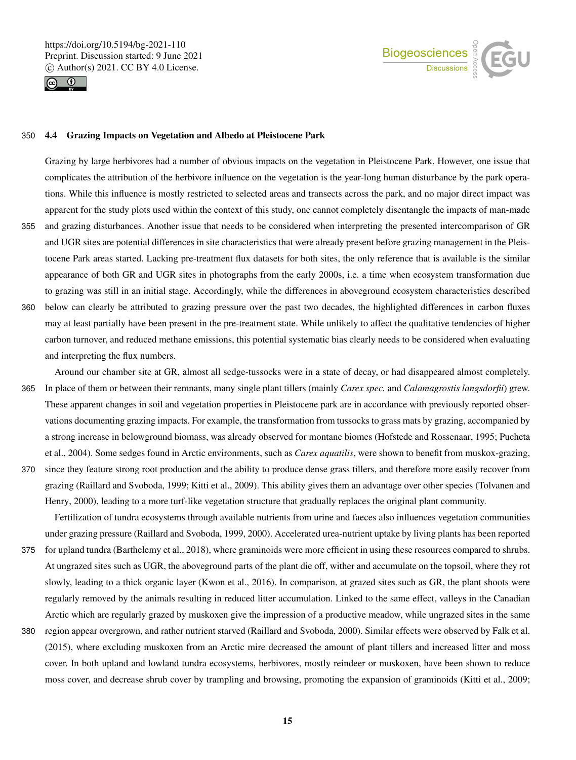



# 350 4.4 Grazing Impacts on Vegetation and Albedo at Pleistocene Park

Grazing by large herbivores had a number of obvious impacts on the vegetation in Pleistocene Park. However, one issue that complicates the attribution of the herbivore influence on the vegetation is the year-long human disturbance by the park operations. While this influence is mostly restricted to selected areas and transects across the park, and no major direct impact was apparent for the study plots used within the context of this study, one cannot completely disentangle the impacts of man-made 355 and grazing disturbances. Another issue that needs to be considered when interpreting the presented intercomparison of GR and UGR sites are potential differences in site characteristics that were already present before grazing management in the Pleistocene Park areas started. Lacking pre-treatment flux datasets for both sites, the only reference that is available is the similar appearance of both GR and UGR sites in photographs from the early 2000s, i.e. a time when ecosystem transformation due to grazing was still in an initial stage. Accordingly, while the differences in aboveground ecosystem characteristics described 360 below can clearly be attributed to grazing pressure over the past two decades, the highlighted differences in carbon fluxes may at least partially have been present in the pre-treatment state. While unlikely to affect the qualitative tendencies of higher carbon turnover, and reduced methane emissions, this potential systematic bias clearly needs to be considered when evaluating and interpreting the flux numbers.

Around our chamber site at GR, almost all sedge-tussocks were in a state of decay, or had disappeared almost completely. 365 In place of them or between their remnants, many single plant tillers (mainly *Carex spec.* and *Calamagrostis langsdorfii*) grew. These apparent changes in soil and vegetation properties in Pleistocene park are in accordance with previously reported observations documenting grazing impacts. For example, the transformation from tussocks to grass mats by grazing, accompanied by a strong increase in belowground biomass, was already observed for montane biomes (Hofstede and Rossenaar, 1995; Pucheta et al., 2004). Some sedges found in Arctic environments, such as *Carex aquatilis*, were shown to benefit from muskox-grazing,

370 since they feature strong root production and the ability to produce dense grass tillers, and therefore more easily recover from grazing (Raillard and Svoboda, 1999; Kitti et al., 2009). This ability gives them an advantage over other species (Tolvanen and Henry, 2000), leading to a more turf-like vegetation structure that gradually replaces the original plant community.

Fertilization of tundra ecosystems through available nutrients from urine and faeces also influences vegetation communities under grazing pressure (Raillard and Svoboda, 1999, 2000). Accelerated urea-nutrient uptake by living plants has been reported

- 375 for upland tundra (Barthelemy et al., 2018), where graminoids were more efficient in using these resources compared to shrubs. At ungrazed sites such as UGR, the aboveground parts of the plant die off, wither and accumulate on the topsoil, where they rot slowly, leading to a thick organic layer (Kwon et al., 2016). In comparison, at grazed sites such as GR, the plant shoots were regularly removed by the animals resulting in reduced litter accumulation. Linked to the same effect, valleys in the Canadian Arctic which are regularly grazed by muskoxen give the impression of a productive meadow, while ungrazed sites in the same
- 380 region appear overgrown, and rather nutrient starved (Raillard and Svoboda, 2000). Similar effects were observed by Falk et al. (2015), where excluding muskoxen from an Arctic mire decreased the amount of plant tillers and increased litter and moss cover. In both upland and lowland tundra ecosystems, herbivores, mostly reindeer or muskoxen, have been shown to reduce moss cover, and decrease shrub cover by trampling and browsing, promoting the expansion of graminoids (Kitti et al., 2009;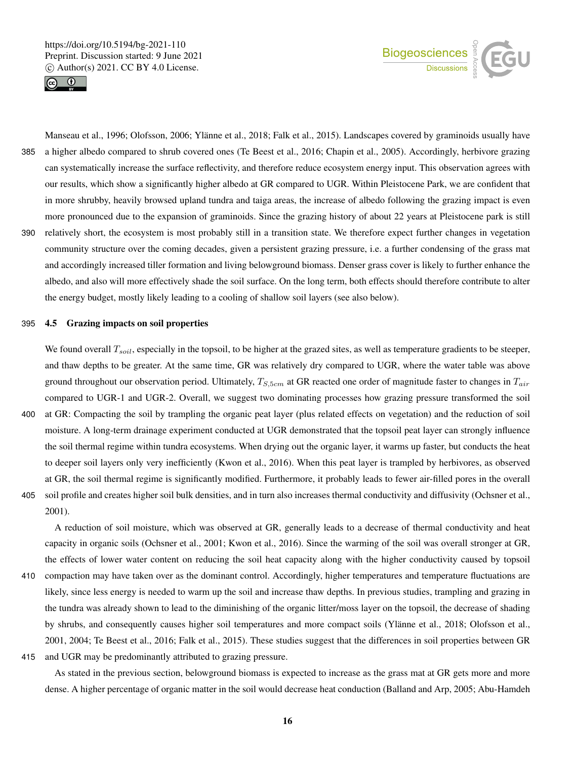



Manseau et al., 1996; Olofsson, 2006; Ylänne et al., 2018; Falk et al., 2015). Landscapes covered by graminoids usually have 385 a higher albedo compared to shrub covered ones (Te Beest et al., 2016; Chapin et al., 2005). Accordingly, herbivore grazing can systematically increase the surface reflectivity, and therefore reduce ecosystem energy input. This observation agrees with our results, which show a significantly higher albedo at GR compared to UGR. Within Pleistocene Park, we are confident that in more shrubby, heavily browsed upland tundra and taiga areas, the increase of albedo following the grazing impact is even more pronounced due to the expansion of graminoids. Since the grazing history of about 22 years at Pleistocene park is still 390 relatively short, the ecosystem is most probably still in a transition state. We therefore expect further changes in vegetation community structure over the coming decades, given a persistent grazing pressure, i.e. a further condensing of the grass mat and accordingly increased tiller formation and living belowground biomass. Denser grass cover is likely to further enhance the albedo, and also will more effectively shade the soil surface. On the long term, both effects should therefore contribute to alter the energy budget, mostly likely leading to a cooling of shallow soil layers (see also below).

#### 395 4.5 Grazing impacts on soil properties

We found overall  $T_{soil}$ , especially in the topsoil, to be higher at the grazed sites, as well as temperature gradients to be steeper, and thaw depths to be greater. At the same time, GR was relatively dry compared to UGR, where the water table was above ground throughout our observation period. Ultimately,  $T_{S,5cm}$  at GR reacted one order of magnitude faster to changes in  $T_{air}$ compared to UGR-1 and UGR-2. Overall, we suggest two dominating processes how grazing pressure transformed the soil 400 at GR: Compacting the soil by trampling the organic peat layer (plus related effects on vegetation) and the reduction of soil moisture. A long-term drainage experiment conducted at UGR demonstrated that the topsoil peat layer can strongly influence

the soil thermal regime within tundra ecosystems. When drying out the organic layer, it warms up faster, but conducts the heat to deeper soil layers only very inefficiently (Kwon et al., 2016). When this peat layer is trampled by herbivores, as observed at GR, the soil thermal regime is significantly modified. Furthermore, it probably leads to fewer air-filled pores in the overall 405 soil profile and creates higher soil bulk densities, and in turn also increases thermal conductivity and diffusivity (Ochsner et al., 2001).

A reduction of soil moisture, which was observed at GR, generally leads to a decrease of thermal conductivity and heat capacity in organic soils (Ochsner et al., 2001; Kwon et al., 2016). Since the warming of the soil was overall stronger at GR, the effects of lower water content on reducing the soil heat capacity along with the higher conductivity caused by topsoil

- 410 compaction may have taken over as the dominant control. Accordingly, higher temperatures and temperature fluctuations are likely, since less energy is needed to warm up the soil and increase thaw depths. In previous studies, trampling and grazing in the tundra was already shown to lead to the diminishing of the organic litter/moss layer on the topsoil, the decrease of shading by shrubs, and consequently causes higher soil temperatures and more compact soils (Ylänne et al., 2018; Olofsson et al., 2001, 2004; Te Beest et al., 2016; Falk et al., 2015). These studies suggest that the differences in soil properties between GR
- 415 and UGR may be predominantly attributed to grazing pressure.

As stated in the previous section, belowground biomass is expected to increase as the grass mat at GR gets more and more dense. A higher percentage of organic matter in the soil would decrease heat conduction (Balland and Arp, 2005; Abu-Hamdeh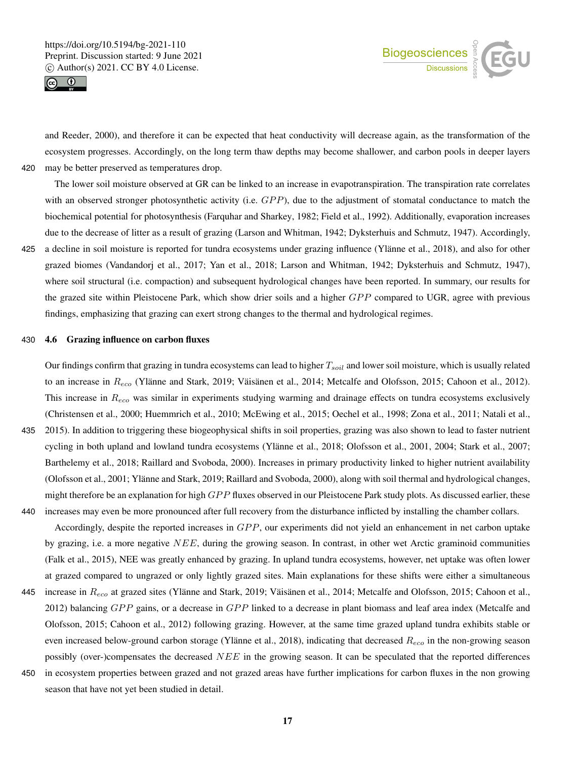



and Reeder, 2000), and therefore it can be expected that heat conductivity will decrease again, as the transformation of the ecosystem progresses. Accordingly, on the long term thaw depths may become shallower, and carbon pools in deeper layers 420 may be better preserved as temperatures drop.

The lower soil moisture observed at GR can be linked to an increase in evapotranspiration. The transpiration rate correlates with an observed stronger photosynthetic activity (i.e.  $GPP$ ), due to the adjustment of stomatal conductance to match the biochemical potential for photosynthesis (Farquhar and Sharkey, 1982; Field et al., 1992). Additionally, evaporation increases due to the decrease of litter as a result of grazing (Larson and Whitman, 1942; Dyksterhuis and Schmutz, 1947). Accordingly,

425 a decline in soil moisture is reported for tundra ecosystems under grazing influence (Ylänne et al., 2018), and also for other grazed biomes (Vandandorj et al., 2017; Yan et al., 2018; Larson and Whitman, 1942; Dyksterhuis and Schmutz, 1947), where soil structural (i.e. compaction) and subsequent hydrological changes have been reported. In summary, our results for the grazed site within Pleistocene Park, which show drier soils and a higher GPP compared to UGR, agree with previous findings, emphasizing that grazing can exert strong changes to the thermal and hydrological regimes.

## 430 4.6 Grazing influence on carbon fluxes

Our findings confirm that grazing in tundra ecosystems can lead to higher  $T_{soil}$  and lower soil moisture, which is usually related to an increase in  $R_{eco}$  (Ylänne and Stark, 2019; Väisänen et al., 2014; Metcalfe and Olofsson, 2015; Cahoon et al., 2012). This increase in  $R_{eco}$  was similar in experiments studying warming and drainage effects on tundra ecosystems exclusively (Christensen et al., 2000; Huemmrich et al., 2010; McEwing et al., 2015; Oechel et al., 1998; Zona et al., 2011; Natali et al.,

- 435 2015). In addition to triggering these biogeophysical shifts in soil properties, grazing was also shown to lead to faster nutrient cycling in both upland and lowland tundra ecosystems (Ylänne et al., 2018; Olofsson et al., 2001, 2004; Stark et al., 2007; Barthelemy et al., 2018; Raillard and Svoboda, 2000). Increases in primary productivity linked to higher nutrient availability (Olofsson et al., 2001; Ylänne and Stark, 2019; Raillard and Svoboda, 2000), along with soil thermal and hydrological changes, might therefore be an explanation for high  $GPP$  fluxes observed in our Pleistocene Park study plots. As discussed earlier, these
- 440 increases may even be more pronounced after full recovery from the disturbance inflicted by installing the chamber collars. Accordingly, despite the reported increases in  $GPP$ , our experiments did not yield an enhancement in net carbon uptake by grazing, i.e. a more negative  $NEE$ , during the growing season. In contrast, in other wet Arctic graminoid communities (Falk et al., 2015), NEE was greatly enhanced by grazing. In upland tundra ecosystems, however, net uptake was often lower at grazed compared to ungrazed or only lightly grazed sites. Main explanations for these shifts were either a simultaneous
- 445 increase in  $R_{eco}$  at grazed sites (Ylänne and Stark, 2019; Väisänen et al., 2014; Metcalfe and Olofsson, 2015; Cahoon et al., 2012) balancing  $GPP$  gains, or a decrease in  $GPP$  linked to a decrease in plant biomass and leaf area index (Metcalfe and Olofsson, 2015; Cahoon et al., 2012) following grazing. However, at the same time grazed upland tundra exhibits stable or even increased below-ground carbon storage (Ylänne et al., 2018), indicating that decreased  $R_{eco}$  in the non-growing season possibly (over-)compensates the decreased NEE in the growing season. It can be speculated that the reported differences
- 450 in ecosystem properties between grazed and not grazed areas have further implications for carbon fluxes in the non growing season that have not yet been studied in detail.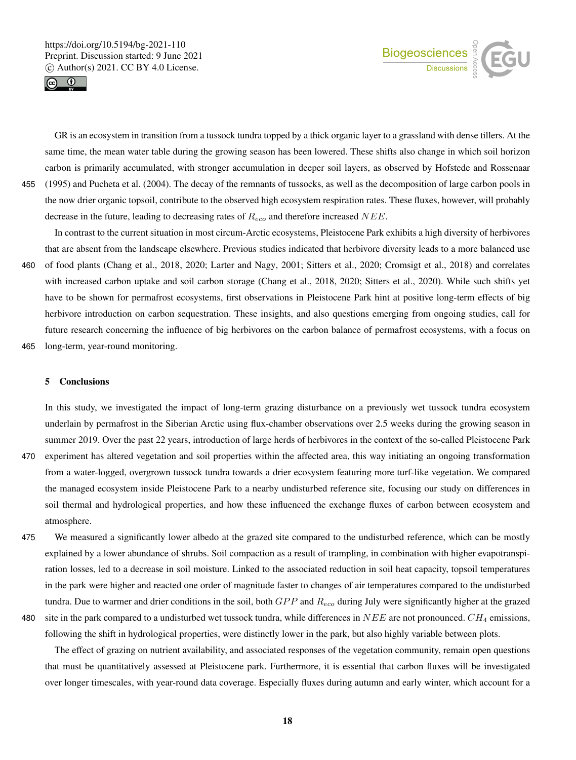



GR is an ecosystem in transition from a tussock tundra topped by a thick organic layer to a grassland with dense tillers. At the same time, the mean water table during the growing season has been lowered. These shifts also change in which soil horizon carbon is primarily accumulated, with stronger accumulation in deeper soil layers, as observed by Hofstede and Rossenaar 455 (1995) and Pucheta et al. (2004). The decay of the remnants of tussocks, as well as the decomposition of large carbon pools in the now drier organic topsoil, contribute to the observed high ecosystem respiration rates. These fluxes, however, will probably decrease in the future, leading to decreasing rates of  $R_{eco}$  and therefore increased NEE.

In contrast to the current situation in most circum-Arctic ecosystems, Pleistocene Park exhibits a high diversity of herbivores that are absent from the landscape elsewhere. Previous studies indicated that herbivore diversity leads to a more balanced use 460 of food plants (Chang et al., 2018, 2020; Larter and Nagy, 2001; Sitters et al., 2020; Cromsigt et al., 2018) and correlates with increased carbon uptake and soil carbon storage (Chang et al., 2018, 2020; Sitters et al., 2020). While such shifts yet have to be shown for permafrost ecosystems, first observations in Pleistocene Park hint at positive long-term effects of big herbivore introduction on carbon sequestration. These insights, and also questions emerging from ongoing studies, call for

future research concerning the influence of big herbivores on the carbon balance of permafrost ecosystems, with a focus on

465 long-term, year-round monitoring.

#### 5 Conclusions

In this study, we investigated the impact of long-term grazing disturbance on a previously wet tussock tundra ecosystem underlain by permafrost in the Siberian Arctic using flux-chamber observations over 2.5 weeks during the growing season in summer 2019. Over the past 22 years, introduction of large herds of herbivores in the context of the so-called Pleistocene Park

- 470 experiment has altered vegetation and soil properties within the affected area, this way initiating an ongoing transformation from a water-logged, overgrown tussock tundra towards a drier ecosystem featuring more turf-like vegetation. We compared the managed ecosystem inside Pleistocene Park to a nearby undisturbed reference site, focusing our study on differences in soil thermal and hydrological properties, and how these influenced the exchange fluxes of carbon between ecosystem and atmosphere.
- 475 We measured a significantly lower albedo at the grazed site compared to the undisturbed reference, which can be mostly explained by a lower abundance of shrubs. Soil compaction as a result of trampling, in combination with higher evapotranspiration losses, led to a decrease in soil moisture. Linked to the associated reduction in soil heat capacity, topsoil temperatures in the park were higher and reacted one order of magnitude faster to changes of air temperatures compared to the undisturbed tundra. Due to warmer and drier conditions in the soil, both  $GPP$  and  $R_{eco}$  during July were significantly higher at the grazed
- 

480 site in the park compared to a undisturbed wet tussock tundra, while differences in  $NEE$  are not pronounced.  $CH_4$  emissions, following the shift in hydrological properties, were distinctly lower in the park, but also highly variable between plots.

The effect of grazing on nutrient availability, and associated responses of the vegetation community, remain open questions that must be quantitatively assessed at Pleistocene park. Furthermore, it is essential that carbon fluxes will be investigated over longer timescales, with year-round data coverage. Especially fluxes during autumn and early winter, which account for a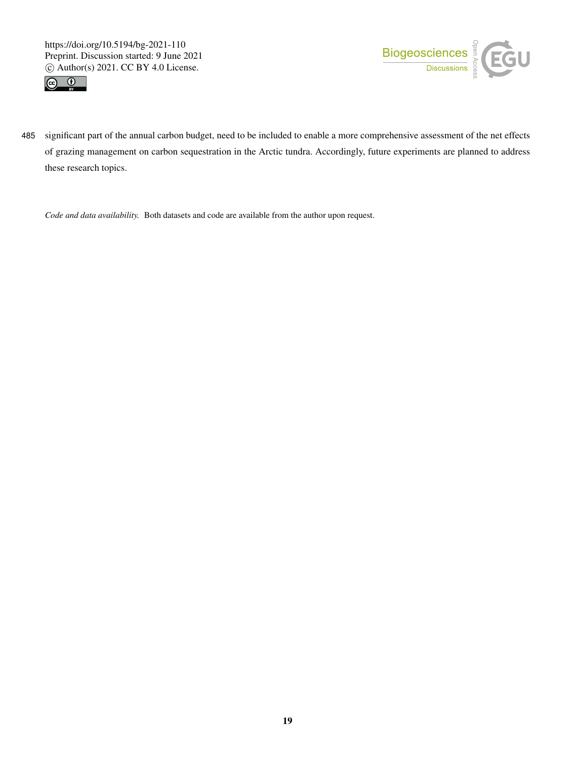https://doi.org/10.5194/bg-2021-110 Preprint. Discussion started: 9 June 2021  $\overline{c}$  Author(s) 2021. CC BY 4.0 License.<br> $\overline{c}$ 





485 significant part of the annual carbon budget, need to be included to enable a more comprehensive assessment of the net effects of grazing management on carbon sequestration in the Arctic tundra. Accordingly, future experiments are planned to address these research topics.

*Code and data availability.* Both datasets and code are available from the author upon request.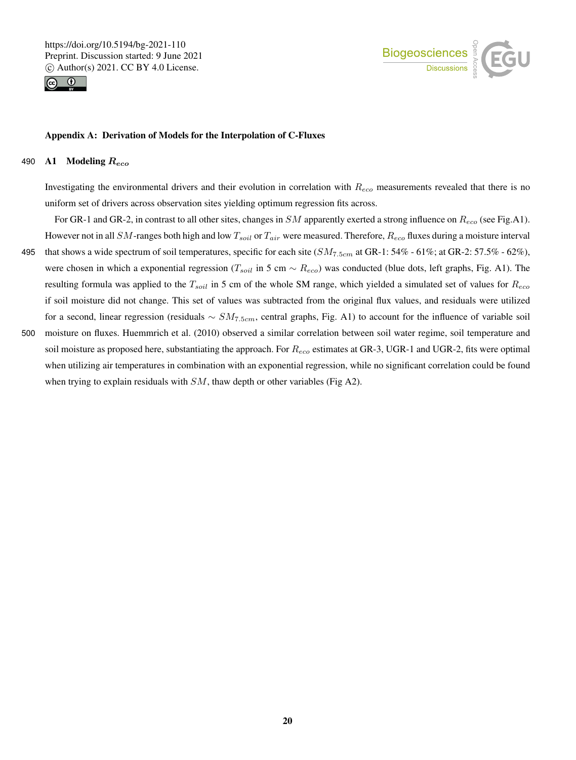



#### Appendix A: Derivation of Models for the Interpolation of C-Fluxes

when trying to explain residuals with  $SM$ , thaw depth or other variables (Fig A2).

# 490 A1 Modeling  $R_{eco}$

Investigating the environmental drivers and their evolution in correlation with  $R_{eco}$  measurements revealed that there is no uniform set of drivers across observation sites yielding optimum regression fits across.

For GR-1 and GR-2, in contrast to all other sites, changes in SM apparently exerted a strong influence on  $R_{eco}$  (see Fig.A1). However not in all SM-ranges both high and low  $T_{soil}$  or  $T_{air}$  were measured. Therefore,  $R_{eco}$  fluxes during a moisture interval 495 that shows a wide spectrum of soil temperatures, specific for each site  $(SM_{7.5cm}$  at GR-1: 54% - 61%; at GR-2: 57.5% - 62%), were chosen in which a exponential regression ( $T_{soil}$  in 5 cm  $\sim R_{eco}$ ) was conducted (blue dots, left graphs, Fig. A1). The resulting formula was applied to the  $T_{soil}$  in 5 cm of the whole SM range, which yielded a simulated set of values for  $R_{eco}$ if soil moisture did not change. This set of values was subtracted from the original flux values, and residuals were utilized for a second, linear regression (residuals  $\sim SM_{7.5cm}$ , central graphs, Fig. A1) to account for the influence of variable soil 500 moisture on fluxes. Huemmrich et al. (2010) observed a similar correlation between soil water regime, soil temperature and soil moisture as proposed here, substantiating the approach. For  $R_{eco}$  estimates at GR-3, UGR-1 and UGR-2, fits were optimal when utilizing air temperatures in combination with an exponential regression, while no significant correlation could be found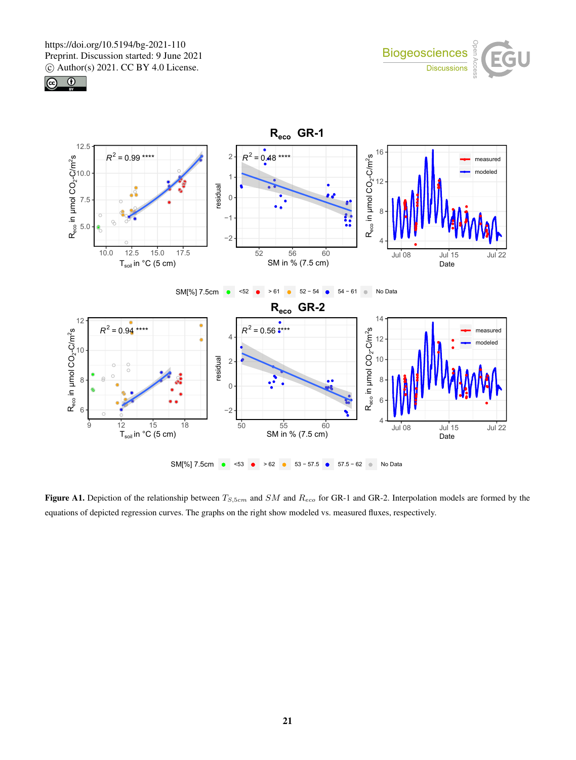





Figure A1. Depiction of the relationship between  $T_{S,5cm}$  and  $SM$  and  $R_{eco}$  for GR-1 and GR-2. Interpolation models are formed by the equations of depicted regression curves. The graphs on the right show modeled vs. measured fluxes, respectively.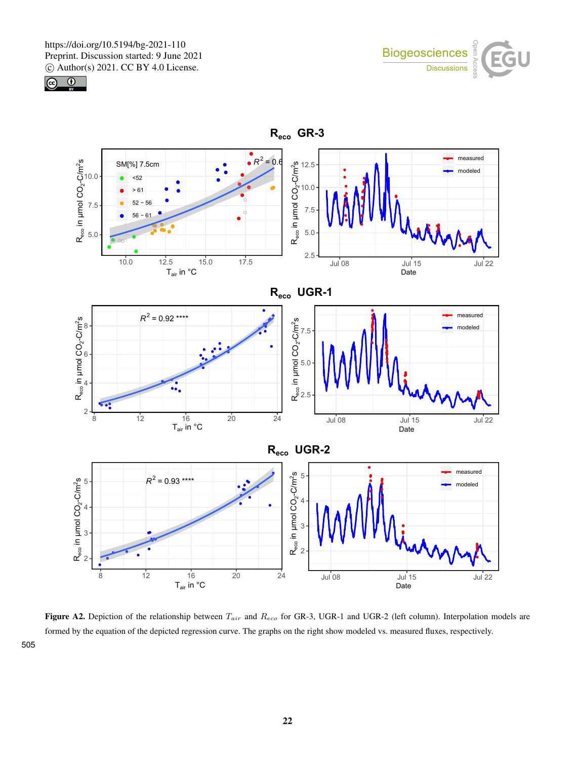



505



Figure A2. Depiction of the relationship between  $T_{air}$  and  $R_{eco}$  for GR-3, UGR-1 and UGR-2 (left column). Interpolation models are formed by the equation of the depicted regression curve. The graphs on the right show modeled vs. measured fluxes, respectively.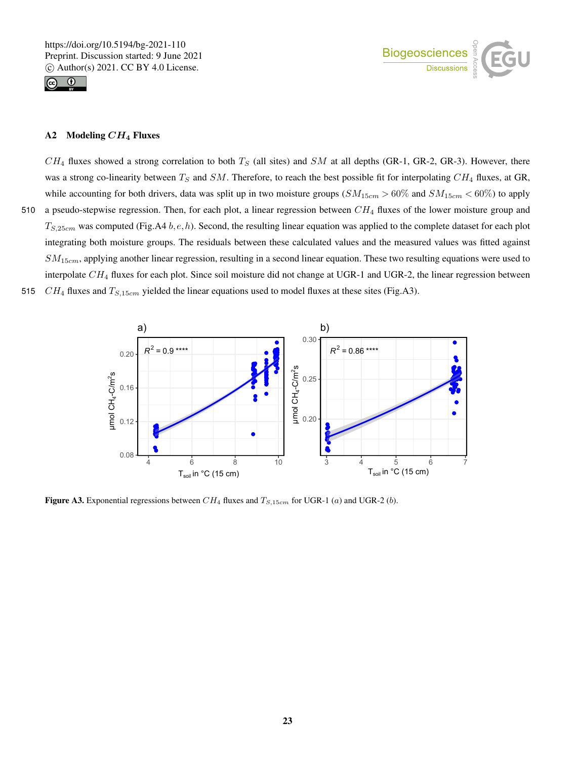



# A2 Modeling  $CH_4$  Fluxes

 $CH_4$  fluxes showed a strong correlation to both  $T_S$  (all sites) and SM at all depths (GR-1, GR-2, GR-3). However, there was a strong co-linearity between  $T_S$  and SM. Therefore, to reach the best possible fit for interpolating  $CH_4$  fluxes, at GR, while accounting for both drivers, data was split up in two moisture groups  $(SM_{15cm} > 60\%$  and  $SM_{15cm} < 60\%)$  to apply 510 a pseudo-stepwise regression. Then, for each plot, a linear regression between  $CH_4$  fluxes of the lower moisture group and  $T_{S,25cm}$  was computed (Fig.A4 b, e, h). Second, the resulting linear equation was applied to the complete dataset for each plot integrating both moisture groups. The residuals between these calculated values and the measured values was fitted against  $SM_{15cm}$ , applying another linear regression, resulting in a second linear equation. These two resulting equations were used to interpolate  $CH_4$  fluxes for each plot. Since soil moisture did not change at UGR-1 and UGR-2, the linear regression between 515  $CH_4$  fluxes and  $T_{S,15cm}$  yielded the linear equations used to model fluxes at these sites (Fig.A3).



Figure A3. Exponential regressions between  $CH_4$  fluxes and  $T_{S,15cm}$  for UGR-1 (a) and UGR-2 (b).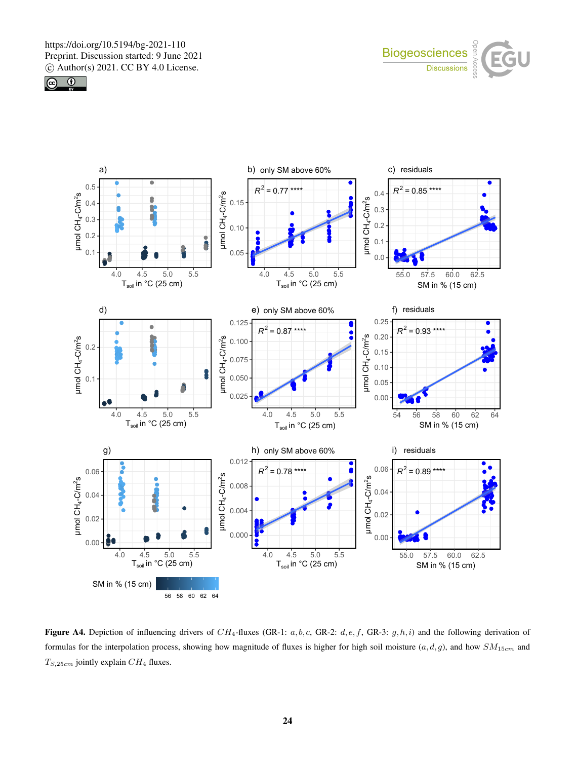





Figure A4. Depiction of influencing drivers of CH<sub>4</sub>-fluxes (GR-1:  $a, b, c$ , GR-2:  $d, e, f$ , GR-3:  $g, h, i$ ) and the following derivation of formulas for the interpolation process, showing how magnitude of fluxes is higher for high soil moisture  $(a, d, g)$ , and how  $SM_{15cm}$  and  $T_{S,25cm}$  jointly explain  $CH_4$  fluxes.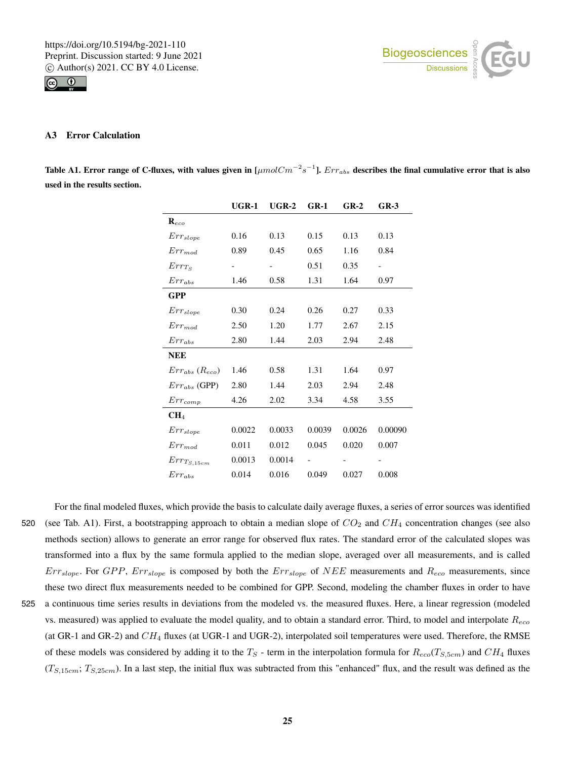



## A3 Error Calculation

Table A1. Error range of C-fluxes, with values given in [ $\mu mol Cm^{-2}s^{-1}$ ].  $Err_{abs}$  describes the final cumulative error that is also used in the results section.

|                           | $UGR-1$ | $UGR-2$ | $GR-1$ | $GR-2$ | $GR-3$  |  |  |
|---------------------------|---------|---------|--------|--------|---------|--|--|
| $\mathbf{R}_{eco}$        |         |         |        |        |         |  |  |
| $Err_{slope}$             | 0.16    | 0.13    | 0.15   | 0.13   | 0.13    |  |  |
| $Err_{mod}$               | 0.89    | 0.45    | 0.65   | 1.16   | 0.84    |  |  |
| $Err_{Ts}$                |         |         | 0.51   | 0.35   |         |  |  |
| $Err_{abs}$               | 1.46    | 0.58    | 1.31   | 1.64   | 0.97    |  |  |
| <b>GPP</b>                |         |         |        |        |         |  |  |
| $Err_{slope}$             | 0.30    | 0.24    | 0.26   | 0.27   | 0.33    |  |  |
| $Err_{mod}$               | 2.50    | 1.20    | 1.77   | 2.67   | 2.15    |  |  |
| $Err_{abs}$               | 2.80    | 1.44    | 2.03   | 2.94   | 2.48    |  |  |
| <b>NEE</b>                |         |         |        |        |         |  |  |
| $Err_{abs}$ ( $R_{eco}$ ) | 1.46    | 0.58    | 1.31   | 1.64   | 0.97    |  |  |
| $Err_{abs}$ (GPP)         | 2.80    | 1.44    | 2.03   | 2.94   | 2.48    |  |  |
| $Err_{comp}$              | 4.26    | 2.02    | 3.34   | 4.58   | 3.55    |  |  |
| CH <sub>4</sub>           |         |         |        |        |         |  |  |
| $Err_{slope}$             | 0.0022  | 0.0033  | 0.0039 | 0.0026 | 0.00090 |  |  |
| $Err_{mod}$               | 0.011   | 0.012   | 0.045  | 0.020  | 0.007   |  |  |
| $Err_{T_{S,15cm}}$        | 0.0013  | 0.0014  |        |        |         |  |  |
| $Err_{abs}$               | 0.014   | 0.016   | 0.049  | 0.027  | 0.008   |  |  |

For the final modeled fluxes, which provide the basis to calculate daily average fluxes, a series of error sources was identified 520 (see Tab. A1). First, a bootstrapping approach to obtain a median slope of  $CO<sub>2</sub>$  and  $CH<sub>4</sub>$  concentration changes (see also methods section) allows to generate an error range for observed flux rates. The standard error of the calculated slopes was transformed into a flux by the same formula applied to the median slope, averaged over all measurements, and is called  $Err_{slope}$ . For  $GPP$ ,  $Err_{slope}$  is composed by both the  $Err_{slope}$  of  $NEE$  measurements and  $R_{eco}$  measurements, since these two direct flux measurements needed to be combined for GPP. Second, modeling the chamber fluxes in order to have 525 a continuous time series results in deviations from the modeled vs. the measured fluxes. Here, a linear regression (modeled vs. measured) was applied to evaluate the model quality, and to obtain a standard error. Third, to model and interpolate  $R_{eco}$ (at GR-1 and GR-2) and  $CH_4$  fluxes (at UGR-1 and UGR-2), interpolated soil temperatures were used. Therefore, the RMSE of these models was considered by adding it to the  $T_S$  - term in the interpolation formula for  $R_{eco}(T_{S,5cm})$  and  $CH_4$  fluxes  $(T_{S,15cm}; T_{S,25cm})$ . In a last step, the initial flux was subtracted from this "enhanced" flux, and the result was defined as the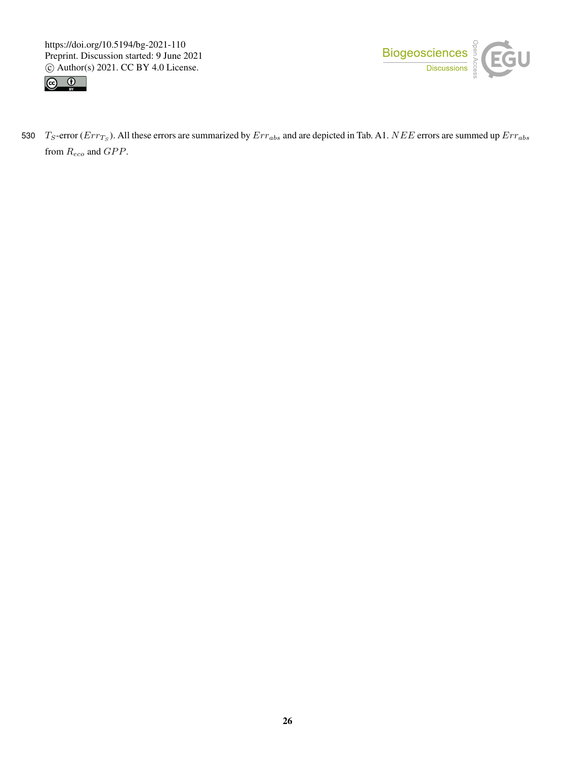https://doi.org/10.5194/bg-2021-110 Preprint. Discussion started: 9 June 2021  $\overline{c}$  Author(s) 2021. CC BY 4.0 License.<br> $\overline{c}$ 





530  $T_S$ -error ( $Err_{Ts}$ ). All these errors are summarized by  $Err_{abs}$  and are depicted in Tab. A1.  $NEE$  errors are summed up  $Err_{abs}$ from  $R_{eco}$  and  $GPP$ .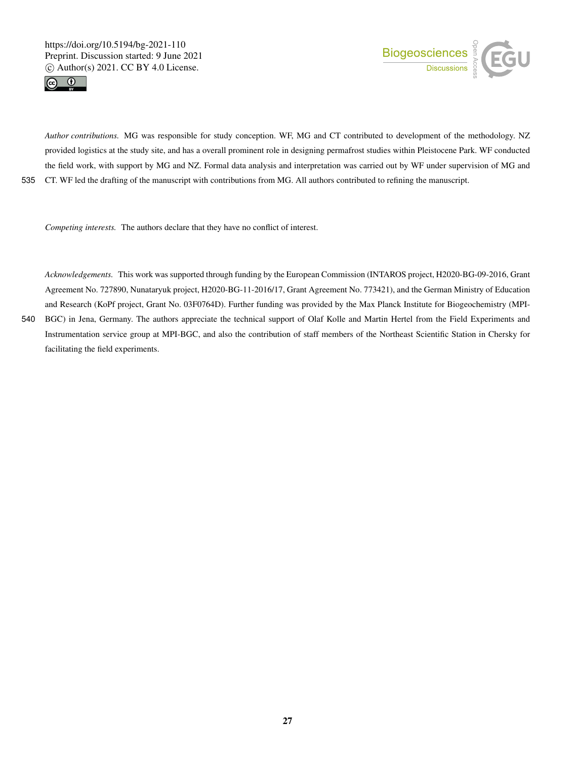



*Author contributions.* MG was responsible for study conception. WF, MG and CT contributed to development of the methodology. NZ provided logistics at the study site, and has a overall prominent role in designing permafrost studies within Pleistocene Park. WF conducted the field work, with support by MG and NZ. Formal data analysis and interpretation was carried out by WF under supervision of MG and 535 CT. WF led the drafting of the manuscript with contributions from MG. All authors contributed to refining the manuscript.

*Competing interests.* The authors declare that they have no conflict of interest.

*Acknowledgements.* This work was supported through funding by the European Commission (INTAROS project, H2020-BG-09-2016, Grant Agreement No. 727890, Nunataryuk project, H2020-BG-11-2016/17, Grant Agreement No. 773421), and the German Ministry of Education and Research (KoPf project, Grant No. 03F0764D). Further funding was provided by the Max Planck Institute for Biogeochemistry (MPI-540 BGC) in Jena, Germany. The authors appreciate the technical support of Olaf Kolle and Martin Hertel from the Field Experiments and Instrumentation service group at MPI-BGC, and also the contribution of staff members of the Northeast Scientific Station in Chersky for

facilitating the field experiments.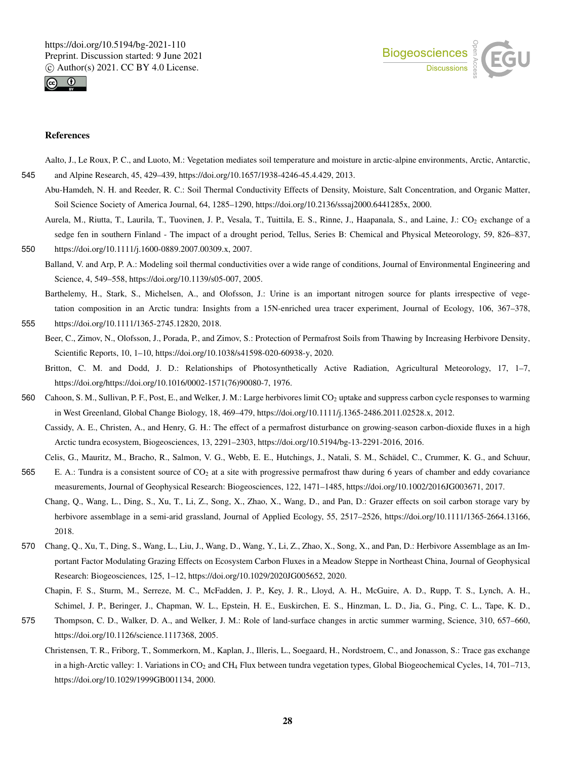



#### References

Aalto, J., Le Roux, P. C., and Luoto, M.: Vegetation mediates soil temperature and moisture in arctic-alpine environments, Arctic, Antarctic, 545 and Alpine Research, 45, 429–439, https://doi.org/10.1657/1938-4246-45.4.429, 2013.

- Abu-Hamdeh, N. H. and Reeder, R. C.: Soil Thermal Conductivity Effects of Density, Moisture, Salt Concentration, and Organic Matter, Soil Science Society of America Journal, 64, 1285–1290, https://doi.org/10.2136/sssaj2000.6441285x, 2000.
- Aurela, M., Riutta, T., Laurila, T., Tuovinen, J. P., Vesala, T., Tuittila, E. S., Rinne, J., Haapanala, S., and Laine, J.: CO<sub>2</sub> exchange of a sedge fen in southern Finland - The impact of a drought period, Tellus, Series B: Chemical and Physical Meteorology, 59, 826–837, 550 https://doi.org/10.1111/j.1600-0889.2007.00309.x, 2007.
- Balland, V. and Arp, P. A.: Modeling soil thermal conductivities over a wide range of conditions, Journal of Environmental Engineering and Science, 4, 549–558, https://doi.org/10.1139/s05-007, 2005.
- Barthelemy, H., Stark, S., Michelsen, A., and Olofsson, J.: Urine is an important nitrogen source for plants irrespective of vegetation composition in an Arctic tundra: Insights from a 15N-enriched urea tracer experiment, Journal of Ecology, 106, 367–378, 555 https://doi.org/10.1111/1365-2745.12820, 2018.
- - Beer, C., Zimov, N., Olofsson, J., Porada, P., and Zimov, S.: Protection of Permafrost Soils from Thawing by Increasing Herbivore Density, Scientific Reports, 10, 1–10, https://doi.org/10.1038/s41598-020-60938-y, 2020.
	- Britton, C. M. and Dodd, J. D.: Relationships of Photosynthetically Active Radiation, Agricultural Meteorology, 17, 1–7, https://doi.org/https://doi.org/10.1016/0002-1571(76)90080-7, 1976.
- 560 Cahoon, S. M., Sullivan, P. F., Post, E., and Welker, J. M.: Large herbivores limit CO<sub>2</sub> uptake and suppress carbon cycle responses to warming in West Greenland, Global Change Biology, 18, 469–479, https://doi.org/10.1111/j.1365-2486.2011.02528.x, 2012.

Cassidy, A. E., Christen, A., and Henry, G. H.: The effect of a permafrost disturbance on growing-season carbon-dioxide fluxes in a high Arctic tundra ecosystem, Biogeosciences, 13, 2291–2303, https://doi.org/10.5194/bg-13-2291-2016, 2016.

- Celis, G., Mauritz, M., Bracho, R., Salmon, V. G., Webb, E. E., Hutchings, J., Natali, S. M., Schädel, C., Crummer, K. G., and Schuur, 565 E. A.: Tundra is a consistent source of CO<sub>2</sub> at a site with progressive permafrost thaw during 6 years of chamber and eddy covariance measurements, Journal of Geophysical Research: Biogeosciences, 122, 1471–1485, https://doi.org/10.1002/2016JG003671, 2017.
	- Chang, Q., Wang, L., Ding, S., Xu, T., Li, Z., Song, X., Zhao, X., Wang, D., and Pan, D.: Grazer effects on soil carbon storage vary by herbivore assemblage in a semi-arid grassland, Journal of Applied Ecology, 55, 2517–2526, https://doi.org/10.1111/1365-2664.13166, 2018.
- 570 Chang, Q., Xu, T., Ding, S., Wang, L., Liu, J., Wang, D., Wang, Y., Li, Z., Zhao, X., Song, X., and Pan, D.: Herbivore Assemblage as an Important Factor Modulating Grazing Effects on Ecosystem Carbon Fluxes in a Meadow Steppe in Northeast China, Journal of Geophysical Research: Biogeosciences, 125, 1–12, https://doi.org/10.1029/2020JG005652, 2020.
	- Chapin, F. S., Sturm, M., Serreze, M. C., McFadden, J. P., Key, J. R., Lloyd, A. H., McGuire, A. D., Rupp, T. S., Lynch, A. H., Schimel, J. P., Beringer, J., Chapman, W. L., Epstein, H. E., Euskirchen, E. S., Hinzman, L. D., Jia, G., Ping, C. L., Tape, K. D.,
- 575 Thompson, C. D., Walker, D. A., and Welker, J. M.: Role of land-surface changes in arctic summer warming, Science, 310, 657–660, https://doi.org/10.1126/science.1117368, 2005.
	- Christensen, T. R., Friborg, T., Sommerkorn, M., Kaplan, J., Illeris, L., Soegaard, H., Nordstroem, C., and Jonasson, S.: Trace gas exchange in a high-Arctic valley: 1. Variations in CO<sub>2</sub> and CH<sub>4</sub> Flux between tundra vegetation types, Global Biogeochemical Cycles, 14, 701–713, https://doi.org/10.1029/1999GB001134, 2000.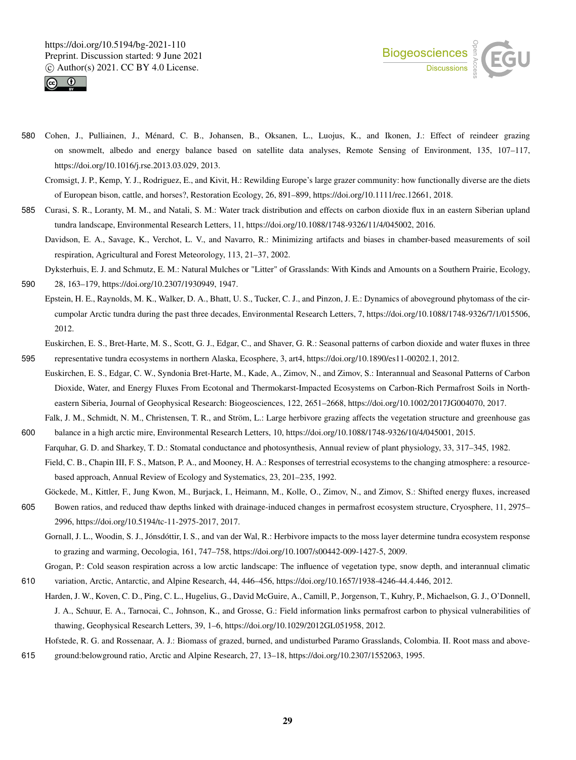



- 580 Cohen, J., Pulliainen, J., Ménard, C. B., Johansen, B., Oksanen, L., Luojus, K., and Ikonen, J.: Effect of reindeer grazing on snowmelt, albedo and energy balance based on satellite data analyses, Remote Sensing of Environment, 135, 107–117, https://doi.org/10.1016/j.rse.2013.03.029, 2013.
	- Cromsigt, J. P., Kemp, Y. J., Rodriguez, E., and Kivit, H.: Rewilding Europe's large grazer community: how functionally diverse are the diets of European bison, cattle, and horses?, Restoration Ecology, 26, 891–899, https://doi.org/10.1111/rec.12661, 2018.
- 585 Curasi, S. R., Loranty, M. M., and Natali, S. M.: Water track distribution and effects on carbon dioxide flux in an eastern Siberian upland tundra landscape, Environmental Research Letters, 11, https://doi.org/10.1088/1748-9326/11/4/045002, 2016.
	- Davidson, E. A., Savage, K., Verchot, L. V., and Navarro, R.: Minimizing artifacts and biases in chamber-based measurements of soil respiration, Agricultural and Forest Meteorology, 113, 21–37, 2002.
- Dyksterhuis, E. J. and Schmutz, E. M.: Natural Mulches or "Litter" of Grasslands: With Kinds and Amounts on a Southern Prairie, Ecology, 590 28, 163–179, https://doi.org/10.2307/1930949, 1947.
	- Epstein, H. E., Raynolds, M. K., Walker, D. A., Bhatt, U. S., Tucker, C. J., and Pinzon, J. E.: Dynamics of aboveground phytomass of the circumpolar Arctic tundra during the past three decades, Environmental Research Letters, 7, https://doi.org/10.1088/1748-9326/7/1/015506, 2012.
- Euskirchen, E. S., Bret-Harte, M. S., Scott, G. J., Edgar, C., and Shaver, G. R.: Seasonal patterns of carbon dioxide and water fluxes in three 595 representative tundra ecosystems in northern Alaska, Ecosphere, 3, art4, https://doi.org/10.1890/es11-00202.1, 2012.
- Euskirchen, E. S., Edgar, C. W., Syndonia Bret-Harte, M., Kade, A., Zimov, N., and Zimov, S.: Interannual and Seasonal Patterns of Carbon Dioxide, Water, and Energy Fluxes From Ecotonal and Thermokarst-Impacted Ecosystems on Carbon-Rich Permafrost Soils in Northeastern Siberia, Journal of Geophysical Research: Biogeosciences, 122, 2651–2668, https://doi.org/10.1002/2017JG004070, 2017.
- Falk, J. M., Schmidt, N. M., Christensen, T. R., and Ström, L.: Large herbivore grazing affects the vegetation structure and greenhouse gas 600 balance in a high arctic mire, Environmental Research Letters, 10, https://doi.org/10.1088/1748-9326/10/4/045001, 2015.
	- Farquhar, G. D. and Sharkey, T. D.: Stomatal conductance and photosynthesis, Annual review of plant physiology, 33, 317–345, 1982.
	- Field, C. B., Chapin III, F. S., Matson, P. A., and Mooney, H. A.: Responses of terrestrial ecosystems to the changing atmosphere: a resourcebased approach, Annual Review of Ecology and Systematics, 23, 201–235, 1992.
- Göckede, M., Kittler, F., Jung Kwon, M., Burjack, I., Heimann, M., Kolle, O., Zimov, N., and Zimov, S.: Shifted energy fluxes, increased 605 Bowen ratios, and reduced thaw depths linked with drainage-induced changes in permafrost ecosystem structure, Cryosphere, 11, 2975– 2996, https://doi.org/10.5194/tc-11-2975-2017, 2017.
	- Gornall, J. L., Woodin, S. J., Jónsdóttir, I. S., and van der Wal, R.: Herbivore impacts to the moss layer determine tundra ecosystem response to grazing and warming, Oecologia, 161, 747–758, https://doi.org/10.1007/s00442-009-1427-5, 2009.
- Grogan, P.: Cold season respiration across a low arctic landscape: The influence of vegetation type, snow depth, and interannual climatic 610 variation, Arctic, Antarctic, and Alpine Research, 44, 446–456, https://doi.org/10.1657/1938-4246-44.4.446, 2012.
- Harden, J. W., Koven, C. D., Ping, C. L., Hugelius, G., David McGuire, A., Camill, P., Jorgenson, T., Kuhry, P., Michaelson, G. J., O'Donnell, J. A., Schuur, E. A., Tarnocai, C., Johnson, K., and Grosse, G.: Field information links permafrost carbon to physical vulnerabilities of thawing, Geophysical Research Letters, 39, 1–6, https://doi.org/10.1029/2012GL051958, 2012.

Hofstede, R. G. and Rossenaar, A. J.: Biomass of grazed, burned, and undisturbed Paramo Grasslands, Colombia. II. Root mass and above-615 ground:belowground ratio, Arctic and Alpine Research, 27, 13–18, https://doi.org/10.2307/1552063, 1995.

29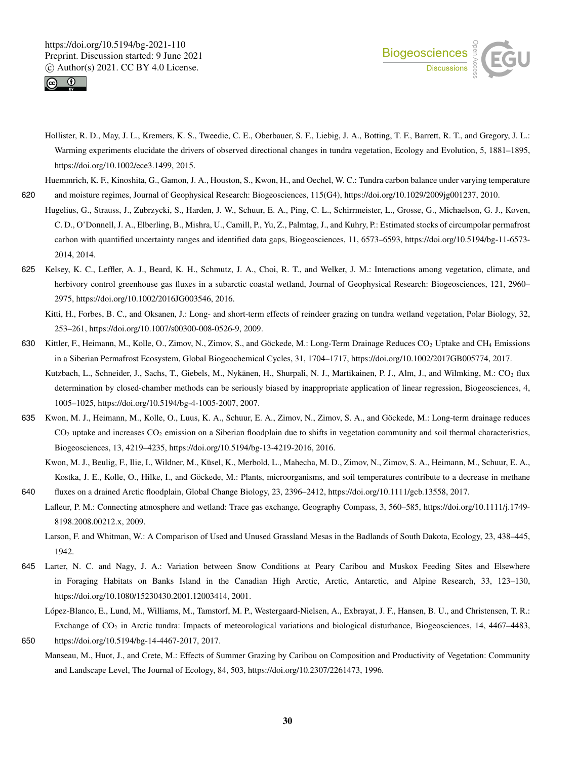



- Hollister, R. D., May, J. L., Kremers, K. S., Tweedie, C. E., Oberbauer, S. F., Liebig, J. A., Botting, T. F., Barrett, R. T., and Gregory, J. L.: Warming experiments elucidate the drivers of observed directional changes in tundra vegetation, Ecology and Evolution, 5, 1881–1895, https://doi.org/10.1002/ece3.1499, 2015.
- Huemmrich, K. F., Kinoshita, G., Gamon, J. A., Houston, S., Kwon, H., and Oechel, W. C.: Tundra carbon balance under varying temperature 620 and moisture regimes, Journal of Geophysical Research: Biogeosciences, 115(G4), https://doi.org/10.1029/2009jg001237, 2010.
	- Hugelius, G., Strauss, J., Zubrzycki, S., Harden, J. W., Schuur, E. A., Ping, C. L., Schirrmeister, L., Grosse, G., Michaelson, G. J., Koven, C. D., O'Donnell, J. A., Elberling, B., Mishra, U., Camill, P., Yu, Z., Palmtag, J., and Kuhry, P.: Estimated stocks of circumpolar permafrost carbon with quantified uncertainty ranges and identified data gaps, Biogeosciences, 11, 6573–6593, https://doi.org/10.5194/bg-11-6573- 2014, 2014.
- 625 Kelsey, K. C., Leffler, A. J., Beard, K. H., Schmutz, J. A., Choi, R. T., and Welker, J. M.: Interactions among vegetation, climate, and herbivory control greenhouse gas fluxes in a subarctic coastal wetland, Journal of Geophysical Research: Biogeosciences, 121, 2960– 2975, https://doi.org/10.1002/2016JG003546, 2016.
	- Kitti, H., Forbes, B. C., and Oksanen, J.: Long- and short-term effects of reindeer grazing on tundra wetland vegetation, Polar Biology, 32, 253–261, https://doi.org/10.1007/s00300-008-0526-9, 2009.
- 630 Kittler, F., Heimann, M., Kolle, O., Zimov, N., Zimov, S., and Göckede, M.: Long-Term Drainage Reduces CO<sup>2</sup> Uptake and CH<sup>4</sup> Emissions in a Siberian Permafrost Ecosystem, Global Biogeochemical Cycles, 31, 1704–1717, https://doi.org/10.1002/2017GB005774, 2017.
	- Kutzbach, L., Schneider, J., Sachs, T., Giebels, M., Nykänen, H., Shurpali, N. J., Martikainen, P. J., Alm, J., and Wilmking, M.: CO<sup>2</sup> flux determination by closed-chamber methods can be seriously biased by inappropriate application of linear regression, Biogeosciences, 4, 1005–1025, https://doi.org/10.5194/bg-4-1005-2007, 2007.
- 635 Kwon, M. J., Heimann, M., Kolle, O., Luus, K. A., Schuur, E. A., Zimov, N., Zimov, S. A., and Göckede, M.: Long-term drainage reduces CO<sup>2</sup> uptake and increases CO<sup>2</sup> emission on a Siberian floodplain due to shifts in vegetation community and soil thermal characteristics, Biogeosciences, 13, 4219–4235, https://doi.org/10.5194/bg-13-4219-2016, 2016.
- Kwon, M. J., Beulig, F., Ilie, I., Wildner, M., Küsel, K., Merbold, L., Mahecha, M. D., Zimov, N., Zimov, S. A., Heimann, M., Schuur, E. A., Kostka, J. E., Kolle, O., Hilke, I., and Göckede, M.: Plants, microorganisms, and soil temperatures contribute to a decrease in methane 640 fluxes on a drained Arctic floodplain, Global Change Biology, 23, 2396–2412, https://doi.org/10.1111/gcb.13558, 2017.
	- Lafleur, P. M.: Connecting atmosphere and wetland: Trace gas exchange, Geography Compass, 3, 560–585, https://doi.org/10.1111/j.1749- 8198.2008.00212.x, 2009.
	- Larson, F. and Whitman, W.: A Comparison of Used and Unused Grassland Mesas in the Badlands of South Dakota, Ecology, 23, 438–445, 1942.
- 645 Larter, N. C. and Nagy, J. A.: Variation between Snow Conditions at Peary Caribou and Muskox Feeding Sites and Elsewhere in Foraging Habitats on Banks Island in the Canadian High Arctic, Arctic, Antarctic, and Alpine Research, 33, 123–130, https://doi.org/10.1080/15230430.2001.12003414, 2001.
	- López-Blanco, E., Lund, M., Williams, M., Tamstorf, M. P., Westergaard-Nielsen, A., Exbrayat, J. F., Hansen, B. U., and Christensen, T. R.: Exchange of CO<sub>2</sub> in Arctic tundra: Impacts of meteorological variations and biological disturbance, Biogeosciences, 14, 4467–4483,
- 650 https://doi.org/10.5194/bg-14-4467-2017, 2017.
	- Manseau, M., Huot, J., and Crete, M.: Effects of Summer Grazing by Caribou on Composition and Productivity of Vegetation: Community and Landscape Level, The Journal of Ecology, 84, 503, https://doi.org/10.2307/2261473, 1996.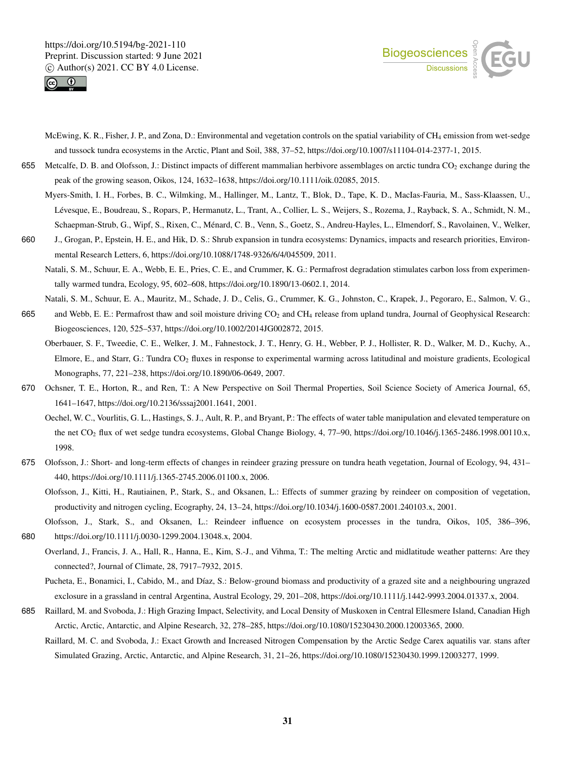



- McEwing, K. R., Fisher, J. P., and Zona, D.: Environmental and vegetation controls on the spatial variability of CH<sub>4</sub> emission from wet-sedge and tussock tundra ecosystems in the Arctic, Plant and Soil, 388, 37–52, https://doi.org/10.1007/s11104-014-2377-1, 2015.
- 655 Metcalfe, D. B. and Olofsson, J.: Distinct impacts of different mammalian herbivore assemblages on arctic tundra  $CO<sub>2</sub>$  exchange during the peak of the growing season, Oikos, 124, 1632–1638, https://doi.org/10.1111/oik.02085, 2015.
	- Myers-Smith, I. H., Forbes, B. C., Wilmking, M., Hallinger, M., Lantz, T., Blok, D., Tape, K. D., MacIas-Fauria, M., Sass-Klaassen, U., Lévesque, E., Boudreau, S., Ropars, P., Hermanutz, L., Trant, A., Collier, L. S., Weijers, S., Rozema, J., Rayback, S. A., Schmidt, N. M., Schaepman-Strub, G., Wipf, S., Rixen, C., Ménard, C. B., Venn, S., Goetz, S., Andreu-Hayles, L., Elmendorf, S., Ravolainen, V., Welker,
- 660 J., Grogan, P., Epstein, H. E., and Hik, D. S.: Shrub expansion in tundra ecosystems: Dynamics, impacts and research priorities, Environmental Research Letters, 6, https://doi.org/10.1088/1748-9326/6/4/045509, 2011.
	- Natali, S. M., Schuur, E. A., Webb, E. E., Pries, C. E., and Crummer, K. G.: Permafrost degradation stimulates carbon loss from experimentally warmed tundra, Ecology, 95, 602–608, https://doi.org/10.1890/13-0602.1, 2014.
- Natali, S. M., Schuur, E. A., Mauritz, M., Schade, J. D., Celis, G., Crummer, K. G., Johnston, C., Krapek, J., Pegoraro, E., Salmon, V. G., 665 and Webb, E. E.: Permafrost thaw and soil moisture driving CO<sub>2</sub> and CH<sub>4</sub> release from upland tundra, Journal of Geophysical Research: Biogeosciences, 120, 525–537, https://doi.org/10.1002/2014JG002872, 2015.
	- Oberbauer, S. F., Tweedie, C. E., Welker, J. M., Fahnestock, J. T., Henry, G. H., Webber, P. J., Hollister, R. D., Walker, M. D., Kuchy, A., Elmore, E., and Starr, G.: Tundra CO<sup>2</sup> fluxes in response to experimental warming across latitudinal and moisture gradients, Ecological Monographs, 77, 221–238, https://doi.org/10.1890/06-0649, 2007.
- 670 Ochsner, T. E., Horton, R., and Ren, T.: A New Perspective on Soil Thermal Properties, Soil Science Society of America Journal, 65, 1641–1647, https://doi.org/10.2136/sssaj2001.1641, 2001.
	- Oechel, W. C., Vourlitis, G. L., Hastings, S. J., Ault, R. P., and Bryant, P.: The effects of water table manipulation and elevated temperature on the net CO<sub>2</sub> flux of wet sedge tundra ecosystems, Global Change Biology, 4, 77–90, https://doi.org/10.1046/j.1365-2486.1998.00110.x, 1998.
- 675 Olofsson, J.: Short- and long-term effects of changes in reindeer grazing pressure on tundra heath vegetation, Journal of Ecology, 94, 431– 440, https://doi.org/10.1111/j.1365-2745.2006.01100.x, 2006.
	- Olofsson, J., Kitti, H., Rautiainen, P., Stark, S., and Oksanen, L.: Effects of summer grazing by reindeer on composition of vegetation, productivity and nitrogen cycling, Ecography, 24, 13–24, https://doi.org/10.1034/j.1600-0587.2001.240103.x, 2001.
- Olofsson, J., Stark, S., and Oksanen, L.: Reindeer influence on ecosystem processes in the tundra, Oikos, 105, 386–396, 680 https://doi.org/10.1111/j.0030-1299.2004.13048.x, 2004.
	- Overland, J., Francis, J. A., Hall, R., Hanna, E., Kim, S.-J., and Vihma, T.: The melting Arctic and midlatitude weather patterns: Are they connected?, Journal of Climate, 28, 7917–7932, 2015.

Pucheta, E., Bonamici, I., Cabido, M., and Díaz, S.: Below-ground biomass and productivity of a grazed site and a neighbouring ungrazed exclosure in a grassland in central Argentina, Austral Ecology, 29, 201–208, https://doi.org/10.1111/j.1442-9993.2004.01337.x, 2004.

- 685 Raillard, M. and Svoboda, J.: High Grazing Impact, Selectivity, and Local Density of Muskoxen in Central Ellesmere Island, Canadian High Arctic, Arctic, Antarctic, and Alpine Research, 32, 278–285, https://doi.org/10.1080/15230430.2000.12003365, 2000.
	- Raillard, M. C. and Svoboda, J.: Exact Growth and Increased Nitrogen Compensation by the Arctic Sedge Carex aquatilis var. stans after Simulated Grazing, Arctic, Antarctic, and Alpine Research, 31, 21–26, https://doi.org/10.1080/15230430.1999.12003277, 1999.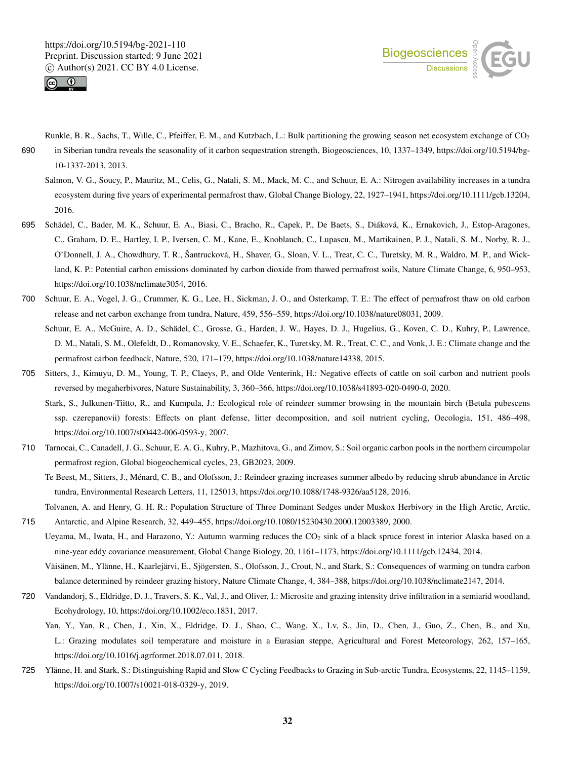



- Runkle, B. R., Sachs, T., Wille, C., Pfeiffer, E. M., and Kutzbach, L.: Bulk partitioning the growing season net ecosystem exchange of CO<sup>2</sup> 690 in Siberian tundra reveals the seasonality of it carbon sequestration strength, Biogeosciences, 10, 1337–1349, https://doi.org/10.5194/bg-10-1337-2013, 2013.
	- Salmon, V. G., Soucy, P., Mauritz, M., Celis, G., Natali, S. M., Mack, M. C., and Schuur, E. A.: Nitrogen availability increases in a tundra ecosystem during five years of experimental permafrost thaw, Global Change Biology, 22, 1927–1941, https://doi.org/10.1111/gcb.13204, 2016.
- 695 Schädel, C., Bader, M. K., Schuur, E. A., Biasi, C., Bracho, R., Capek, P., De Baets, S., Diáková, K., Ernakovich, J., Estop-Aragones, C., Graham, D. E., Hartley, I. P., Iversen, C. M., Kane, E., Knoblauch, C., Lupascu, M., Martikainen, P. J., Natali, S. M., Norby, R. J., O'Donnell, J. A., Chowdhury, T. R., Šantrucková, H., Shaver, G., Sloan, V. L., Treat, C. C., Turetsky, M. R., Waldro, M. P., and Wickland, K. P.: Potential carbon emissions dominated by carbon dioxide from thawed permafrost soils, Nature Climate Change, 6, 950–953, https://doi.org/10.1038/nclimate3054, 2016.
- 700 Schuur, E. A., Vogel, J. G., Crummer, K. G., Lee, H., Sickman, J. O., and Osterkamp, T. E.: The effect of permafrost thaw on old carbon release and net carbon exchange from tundra, Nature, 459, 556–559, https://doi.org/10.1038/nature08031, 2009.
	- Schuur, E. A., McGuire, A. D., Schädel, C., Grosse, G., Harden, J. W., Hayes, D. J., Hugelius, G., Koven, C. D., Kuhry, P., Lawrence, D. M., Natali, S. M., Olefeldt, D., Romanovsky, V. E., Schaefer, K., Turetsky, M. R., Treat, C. C., and Vonk, J. E.: Climate change and the permafrost carbon feedback, Nature, 520, 171–179, https://doi.org/10.1038/nature14338, 2015.
- 705 Sitters, J., Kimuyu, D. M., Young, T. P., Claeys, P., and Olde Venterink, H.: Negative effects of cattle on soil carbon and nutrient pools reversed by megaherbivores, Nature Sustainability, 3, 360–366, https://doi.org/10.1038/s41893-020-0490-0, 2020.
	- Stark, S., Julkunen-Tiitto, R., and Kumpula, J.: Ecological role of reindeer summer browsing in the mountain birch (Betula pubescens ssp. czerepanovii) forests: Effects on plant defense, litter decomposition, and soil nutrient cycling, Oecologia, 151, 486–498, https://doi.org/10.1007/s00442-006-0593-y, 2007.
- 710 Tarnocai, C., Canadell, J. G., Schuur, E. A. G., Kuhry, P., Mazhitova, G., and Zimov, S.: Soil organic carbon pools in the northern circumpolar permafrost region, Global biogeochemical cycles, 23, GB2023, 2009.
	- Te Beest, M., Sitters, J., Ménard, C. B., and Olofsson, J.: Reindeer grazing increases summer albedo by reducing shrub abundance in Arctic tundra, Environmental Research Letters, 11, 125013, https://doi.org/10.1088/1748-9326/aa5128, 2016.
- Tolvanen, A. and Henry, G. H. R.: Population Structure of Three Dominant Sedges under Muskox Herbivory in the High Arctic, Arctic, 715 Antarctic, and Alpine Research, 32, 449–455, https://doi.org/10.1080/15230430.2000.12003389, 2000.
- Ueyama, M., Iwata, H., and Harazono, Y.: Autumn warming reduces the CO<sub>2</sub> sink of a black spruce forest in interior Alaska based on a nine-year eddy covariance measurement, Global Change Biology, 20, 1161–1173, https://doi.org/10.1111/gcb.12434, 2014.
	- Väisänen, M., Ylänne, H., Kaarlejärvi, E., Sjögersten, S., Olofsson, J., Crout, N., and Stark, S.: Consequences of warming on tundra carbon balance determined by reindeer grazing history, Nature Climate Change, 4, 384–388, https://doi.org/10.1038/nclimate2147, 2014.
- 720 Vandandorj, S., Eldridge, D. J., Travers, S. K., Val, J., and Oliver, I.: Microsite and grazing intensity drive infiltration in a semiarid woodland, Ecohydrology, 10, https://doi.org/10.1002/eco.1831, 2017.
	- Yan, Y., Yan, R., Chen, J., Xin, X., Eldridge, D. J., Shao, C., Wang, X., Lv, S., Jin, D., Chen, J., Guo, Z., Chen, B., and Xu, L.: Grazing modulates soil temperature and moisture in a Eurasian steppe, Agricultural and Forest Meteorology, 262, 157–165, https://doi.org/10.1016/j.agrformet.2018.07.011, 2018.
- 725 Ylänne, H. and Stark, S.: Distinguishing Rapid and Slow C Cycling Feedbacks to Grazing in Sub-arctic Tundra, Ecosystems, 22, 1145–1159, https://doi.org/10.1007/s10021-018-0329-y, 2019.